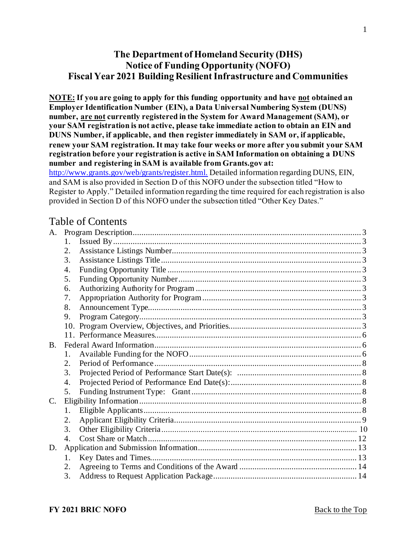# <span id="page-0-0"></span>**The Department of Homeland Security (DHS) Notice of Funding Opportunity (NOFO) Fiscal Year 2021 Building Resilient Infrastructure and Communities**

**NOTE: If you are going to apply for this funding opportunity and have not obtained an Employer Identification Number (EIN), a Data Universal Numbering System (DUNS) number, are not currently registered in the System for Award Management (SAM), or your SAM registration is not active, please take immediate action to obtain an EIN and DUNS Number, if applicable, and then register immediately in SAM or, if applicable, renew your SAM registration. It may take four weeks or more after you submit your SAM registration before your registration is active in SAM Information on obtaining a DUNS number and registering in SAM is available from Grants.gov at:** 

[http://www.grants.gov/web/grants/register.html.](http://www.grants.gov/web/grants/register.html) Detailed information regarding DUNS, EIN, and SAM is also provided in Section D of this NOFO under the subsection titled "How to Register to Apply." Detailed information regarding the time required for each registration is also provided in Section D of this NOFO under the subsection titled "Other Key Dates."

# Table of Contents

| 1.               |  |
|------------------|--|
| 2.               |  |
| 3.               |  |
| $\overline{4}$ . |  |
| 5.               |  |
| 6.               |  |
| 7.               |  |
| 8.               |  |
| 9.               |  |
|                  |  |
|                  |  |
|                  |  |
| 1.               |  |
| 2.               |  |
| 3.               |  |
| 4.               |  |
| 5.               |  |
|                  |  |
| 1.               |  |
| 2.               |  |
| 3.               |  |
| 4.               |  |
|                  |  |
| 1.               |  |
| 2.               |  |
| 3.               |  |
|                  |  |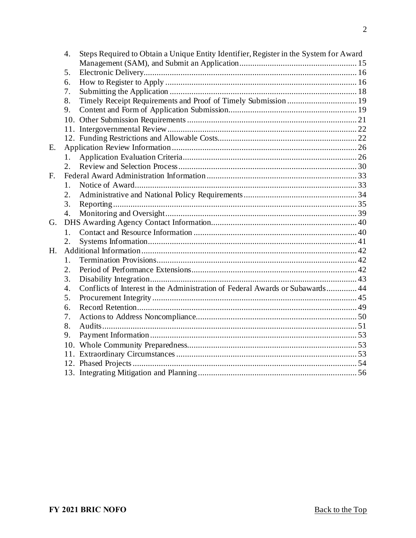|    | 4.               | Steps Required to Obtain a Unique Entity Identifier, Register in the System for Award |  |
|----|------------------|---------------------------------------------------------------------------------------|--|
|    | 5.               |                                                                                       |  |
|    | 6.               |                                                                                       |  |
|    | 7.               |                                                                                       |  |
|    | 8.               | Timely Receipt Requirements and Proof of Timely Submission  19                        |  |
|    | 9.               |                                                                                       |  |
|    |                  |                                                                                       |  |
|    |                  |                                                                                       |  |
|    |                  |                                                                                       |  |
| Ε. |                  |                                                                                       |  |
|    | 1.               |                                                                                       |  |
|    | 2.               |                                                                                       |  |
| F. |                  |                                                                                       |  |
|    | 1.               |                                                                                       |  |
|    | 2.               |                                                                                       |  |
|    | 3.               |                                                                                       |  |
|    | 4.               |                                                                                       |  |
| G. |                  |                                                                                       |  |
|    | $1_{-}$          |                                                                                       |  |
|    | 2.               |                                                                                       |  |
| H. |                  |                                                                                       |  |
|    | $1_{-}$          |                                                                                       |  |
|    | 2.               |                                                                                       |  |
|    | 3.               |                                                                                       |  |
|    | $\overline{4}$ . | Conflicts of Interest in the Administration of Federal Awards or Subawards 44         |  |
|    | 5.               |                                                                                       |  |
|    | 6.               |                                                                                       |  |
|    | 7.               |                                                                                       |  |
|    | 8.               |                                                                                       |  |
|    | 9.               |                                                                                       |  |
|    |                  |                                                                                       |  |
|    |                  |                                                                                       |  |
|    |                  |                                                                                       |  |
|    |                  |                                                                                       |  |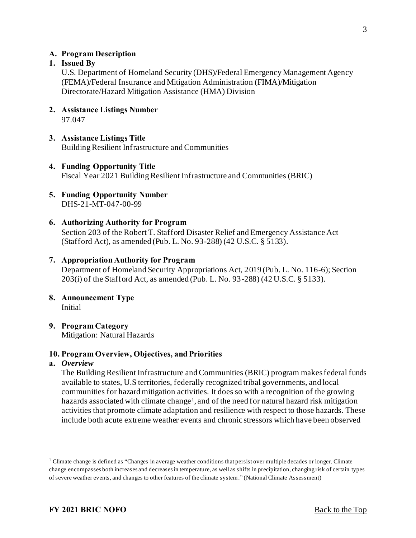#### <span id="page-2-0"></span>**A. Program Description**

#### <span id="page-2-1"></span>**1. Issued By**

U.S. Department of Homeland Security (DHS)/Federal Emergency Management Agency (FEMA)/Federal Insurance and Mitigation Administration (FIMA)/Mitigation Directorate/Hazard Mitigation Assistance (HMA) Division

- <span id="page-2-2"></span>**2. Assistance Listings Number**  97.047
- <span id="page-2-3"></span>**3. Assistance Listings Title**  Building Resilient Infrastructure and Communities
- <span id="page-2-4"></span>**4. Funding Opportunity Title**  Fiscal Year 2021 Building Resilient Infrastructure and Communities (BRIC)
- <span id="page-2-5"></span>**5. Funding Opportunity Number**  DHS-21-MT-047-00-99
- <span id="page-2-6"></span>**6. Authorizing Authority for Program**  Section 203 of the Robert T. Stafford Disaster Relief and Emergency Assistance Act (Stafford Act), as amended (Pub. L. No. 93-288) (42 U.S.C. § 5133).

#### <span id="page-2-7"></span>**7. Appropriation Authority for Program**

Department of Homeland Security Appropriations Act, 2019 (Pub. L. No. 116-6); Section 203(i) of the Stafford Act, as amended (Pub. L. No. 93-288) (42 U.S.C. § 5133).

- <span id="page-2-8"></span>**8. Announcement Type**  Initial
- <span id="page-2-9"></span>**9. Program Category**  Mitigation: Natural Hazards

#### <span id="page-2-10"></span>**10. Program Overview, Objectives, and Priorities**

#### **a.** *Overview*

The Building Resilient Infrastructure and Communities (BRIC) program makes federal funds available to states, U.S territories, federally recognized tribal governments, and local communities for hazard mitigation activities. It does so with a recognition of the growing hazards associated with climate change<sup>1</sup>, and of the need for natural hazard risk mitigation activities that promote climate adaptation and resilience with respect to those hazards. These include both acute extreme weather events and chronic stressors which have been observed

<sup>&</sup>lt;sup>1</sup> Climate change is defined as "Changes in average weather conditions that persist over multiple decades or longer. Climate change encompasses both increases and decreases in temperature, as well as shifts in precipitation, changing risk of certain types of severe weather events, and changes to other features of the climate system." (National Climate Assessment)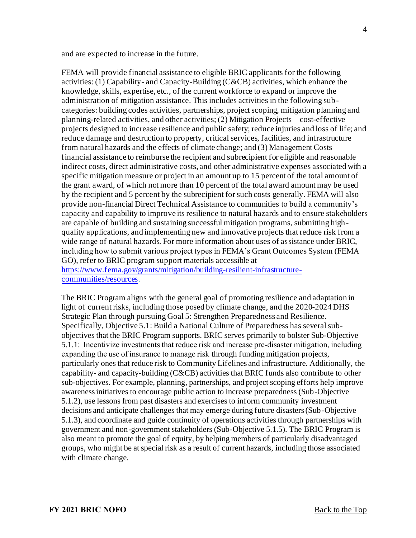and are expected to increase in the future.

FEMA will provide financial assistance to eligible BRIC applicants for the following activities: (1) Capability- and Capacity-Building (C&CB) activities, which enhance the knowledge, skills, expertise, etc., of the current workforce to expand or improve the administration of mitigation assistance. This includes activities in the following subcategories: building codes activities, partnerships, project scoping, mitigation planning and planning-related activities, and other activities; (2) Mitigation Projects – cost-effective projects designed to increase resilience and public safety; reduce injuries and loss of life; and reduce damage and destruction to property, critical services, facilities, and infrastructure from natural hazards and the effects of climate change; and (3) Management Costs – financial assistance to reimburse the recipient and subrecipient for eligible and reasonable indirect costs, direct administrative costs, and other administrative expenses associated with a specific mitigation measure or project in an amount up to 15 percent of the total amount of the grant award, of which not more than 10 percent of the total award amount may be used by the recipient and 5 percent by the subrecipient for such costs generally. FEMA will also provide non-financial Direct Technical Assistance to communities to build a community's capacity and capability to improve its resilience to natural hazards and to ensure stakeholders are capable of building and sustaining successful mitigation programs, submitting highquality applications, and implementing new and innovative projects that reduce risk from a wide range of natural hazards. For more information about uses of assistance under BRIC, including how to submit various project types in FEMA's Grant Outcomes System (FEMA GO), refer to BRIC program support materials accessible at [https://www.fema.gov/grants/mitigation/building-resilient-infrastructure](https://www.fema.gov/grants/mitigation/building-resilient-infrastructure-communities/resources)communities/resources.

The BRIC Program aligns with the general goal of promoting resilience and adaptation in light of current risks, including those posed by climate change, and the 2020-2024 DHS Strategic Plan through pursuing Goal 5: Strengthen Preparedness and Resilience. Specifically, Objective 5.1: Build a National Culture of Preparedness has several subobjectives that the BRIC Program supports. BRIC serves primarily to bolster Sub-Objective 5.1.1: Incentivize investments that reduce risk and increase pre-disaster mitigation, including expanding the use of insurance to manage risk through funding mitigation projects, particularly ones that reduce risk to Community Lifelines and infrastructure. Additionally, the capability- and capacity-building (C&CB) activities that BRIC funds also contribute to other sub-objectives. For example, planning, partnerships, and project scoping efforts help improve awareness initiatives to encourage public action to increase preparedness (Sub-Objective 5.1.2), use lessons from past disasters and exercises to inform community investment decisions and anticipate challenges that may emerge during future disasters (Sub-Objective 5.1.3), and coordinate and guide continuity of operations activities through partnerships with government and non-government stakeholders (Sub-Objective 5.1.5). The BRIC Program is also meant to promote the goal of equity, by helping members of particularly disadvantaged groups, who might be at special risk as a result of current hazards, including those associated with climate change.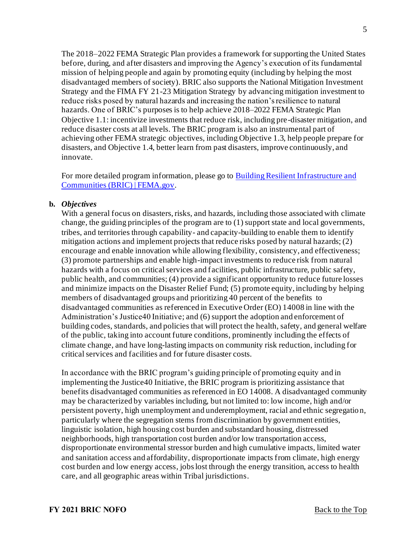The 2018–2022 FEMA Strategic Plan provides a framework for supporting the United States before, during, and after disasters and improving the Agency's execution of its fundamental mission of helping people and again by promoting equity (including by helping the most disadvantaged members of society). BRIC also supports the National Mitigation Investment Strategy and the FIMA FY 21-23 Mitigation Strategy by advancing mitigation investment to reduce risks posed by natural hazards and increasing the nation's resilience to natural hazards. One of BRIC's purposes is to help achieve 2018–2022 FEMA Strategic Plan Objective 1.1: incentivize investments that reduce risk, including pre-disaster mitigation, and reduce disaster costs at all levels. The BRIC program is also an instrumental part of achieving other FEMA strategic objectives, including Objective 1.3, help people prepare for disasters, and Objective 1.4, better learn from past disasters, improve continuously, and innovate.

[For more detailed program information, please go to Building Resilient Infrastructure and](https://www.fema.gov/grants/mitigation/building-resilient-infrastructure-communities)  Communities (BRIC) | FEMA.gov.

#### **b.** *Objectives*

With a general focus on disasters, risks, and hazards, including those associated with climate change, the guiding principles of the program are to (1) support state and local governments, tribes, and territories through capability- and capacity-building to enable them to identify mitigation actions and implement projects that reduce risks posed by natural hazards; (2) encourage and enable innovation while allowing flexibility, consistency, and effectiveness; (3) promote partnerships and enable high-impact investments to reduce risk from natural hazards with a focus on critical services and facilities, public infrastructure, public safety, public health, and communities; (4) provide a significant opportunity to reduce future losses and minimize impacts on the Disaster Relief Fund; (5) promote equity, including by helping members of disadvantaged groups and prioritizing 40 percent of the benefits to disadvantaged communities as referenced in Executive Order (EO) 14008 in line with the Administration's Justice40 Initiative; and (6) support the adoption and enforcement of building codes, standards, and policies that will protect the health, safety, and general welfare of the public, taking into account future conditions, prominently including the effects of climate change, and have long-lasting impacts on community risk reduction, including for critical services and facilities and for future disaster costs.

In accordance with the BRIC program's guiding principle of promoting equity and in implementing the Justice40 Initiative, the BRIC program is prioritizing assistance that benefits disadvantaged communities as referenced in EO 14008. A disadvantaged community may be characterized by variables including, but not limited to: low income, high and/or persistent poverty, high unemployment and underemployment, racial and ethnic segregation, particularly where the segregation stems from discrimination by government entities, linguistic isolation, high housing cost burden and substandard housing, distressed neighborhoods, high transportation cost burden and/or low transportation access, disproportionate environmental stressor burden and high cumulative impacts, limited water and sanitation access and affordability, disproportionate impacts from climate, high energy cost burden and low energy access, jobs lost through the energy transition, access to health care, and all geographic areas within Tribal jurisdictions.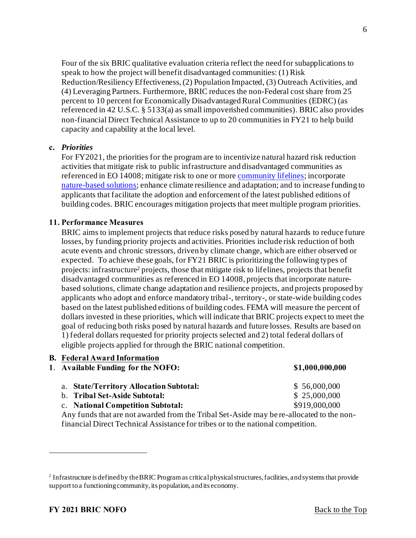Four of the six BRIC qualitative evaluation criteria reflect the need for subapplications to speak to how the project will benefit disadvantaged communities: (1) Risk Reduction/Resiliency Effectiveness, (2) Population Impacted, (3) Outreach Activities, and (4) Leveraging Partners. Furthermore, BRIC reduces the non-Federal cost share from 25 percent to 10 percent for Economically Disadvantaged Rural Communities (EDRC) (as referenced in 42 U.S.C. § 5133(a) as small impoverished communities). BRIC also provides non-financial Direct Technical Assistance to up to 20 communities in FY21 to help build capacity and capability at the local level.

#### **c.** *Priorities*

For FY2021, the priorities for the program are to incentivize natural hazard risk reduction activities that mitigate risk to public infrastructure and disadvantaged communities as referenced in EO 14008; mitigate risk to one or mor[e community lifelines](https://www.fema.gov/emergency-managers/practitioners/lifelines); incorporate [nature-based solutions](https://www.fema.gov/sites/default/files/2020-08/fema_riskmap_nature-based-solutions-guide_2020.pdf); enhance climate resilience and adaptation; and to increase funding to applicants that facilitate the adoption and enforcement of the latest published editions of building codes. BRIC encourages mitigation projects that meet multiple program priorities.

#### <span id="page-5-0"></span>**11. Performance Measures**

BRIC aims to implement projects that reduce risks posed by natural hazards to reduce future losses, by funding priority projects and activities. Priorities include risk reduction of both acute events and chronic stressors, driven by climate change, which are either observed or expected. To achieve these goals, for FY21 BRIC is prioritizing the following types of projects: infrastructure<sup>2</sup> projects, those that mitigate risk to lifelines, projects that benefit disadvantaged communities as referenced in EO 14008, projects that incorporate naturebased solutions, climate change adaptation and resilience projects, and projects proposed by applicants who adopt and enforce mandatory tribal-, territory-, or state-wide building codes based on the latest published editions of building codes. FEMA will measure the percent of dollars invested in these priorities, which will indicate that BRIC projects expect to meet the goal of reducing both risks posed by natural hazards and future losses. Results are based on 1) federal dollars requested for priority projects selected and 2) total federal dollars of eligible projects applied for through the BRIC national competition.

<span id="page-5-2"></span><span id="page-5-1"></span>

|                                                                                                                                                                              | <b>B.</b> Federal Award Information<br>1. Available Funding for the NOFO:<br>\$1,000,000,000 |               |
|------------------------------------------------------------------------------------------------------------------------------------------------------------------------------|----------------------------------------------------------------------------------------------|---------------|
|                                                                                                                                                                              | a. State/Territory Allocation Subtotal:                                                      | \$56,000,000  |
|                                                                                                                                                                              | b. Tribal Set-Aside Subtotal:                                                                | \$25,000,000  |
|                                                                                                                                                                              | c. National Competition Subtotal:                                                            | \$919,000,000 |
| Any funds that are not awarded from the Tribal Set-Aside may be re-allocated to the non-<br>financial Direct Technical Assistance for tribes or to the national competition. |                                                                                              |               |
|                                                                                                                                                                              |                                                                                              |               |

<sup>&</sup>lt;sup>2</sup> Infrastructure is defined by the BRIC Program as critical physical structures, facilities, and systems that provide support to a functioning community, its population, and its economy.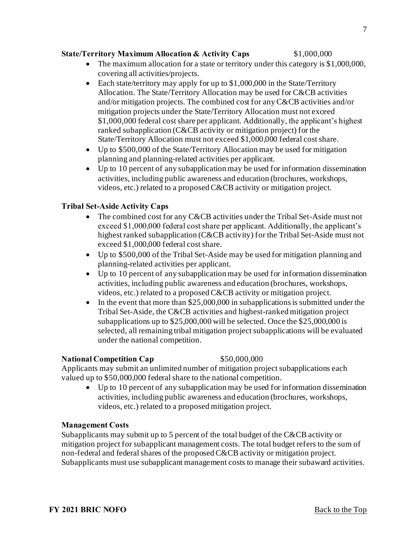## **State/Territory Maximum Allocation & Activity Caps** \$1,000,000

- The maximum allocation for a state or territory under this category is \$1,000,000, covering all activities/projects.
- Each state/territory may apply for up to \$1,000,000 in the State/Territory Allocation. The State/Territory Allocation may be used for C&CB activities and/or mitigation projects. The combined cost for any C&CB activities and/or mitigation projects under the State/Territory Allocation must not exceed \$1,000,000 federal cost share per applicant. Additionally, the applicant's highest ranked subapplication (C&CB activity or mitigation project) for the State/Territory Allocation must not exceed \$1,000,000 federal cost share.
- Up to \$500,000 of the State/Territory Allocation may be used for mitigation planning and planning-related activities per applicant.
- Up to 10 percent of any subapplication may be used for information dissemination activities, including public awareness and education (brochures, workshops, videos, etc.) related to a proposed C&CB activity or mitigation project.

#### **Tribal Set-Aside Activity Caps**

- The combined cost for any C&CB activities under the Tribal Set-Aside must not exceed \$1,000,000 federal cost share per applicant. Additionally, the applicant's highest ranked subapplication (C&CB activity) for the Tribal Set-Aside must not exceed \$1,000,000 federal cost share.
- Up to \$500,000 of the Tribal Set-Aside may be used for mitigation planning and planning-related activities per applicant.
- Up to 10 percent of any subapplication may be used for information dissemination activities, including public awareness and education (brochures, workshops, videos, etc.) related to a proposed C&CB activity or mitigation project.
- In the event that more than \$25,000,000 in subapplications is submitted under the Tribal Set-Aside, the C&CB activities and highest-ranked mitigation project subapplications up to \$25,000,000 will be selected. Once the \$25,000,000 is selected, all remaining tribal mitigation project subapplications will be evaluated under the national competition.

#### **National Competition Cap** \$50,000,000

Applicants may submit an unlimited number of mitigation project subapplications each valued up to \$50,000,000 federal share to the national competition.

• Up to 10 percent of any subapplication may be used for information dissemination activities, including public awareness and education (brochures, workshops, videos, etc.) related to a proposed mitigation project.

#### **Management Costs**

Subapplicants may submit up to 5 percent of the total budget of the C&CB activity or mitigation project for subapplicant management costs. The total budget refers to the sum of non-federal and federal shares of the proposed C&CB activity or mitigation project. Subapplicants must use subapplicant management costs to manage their subaward activities.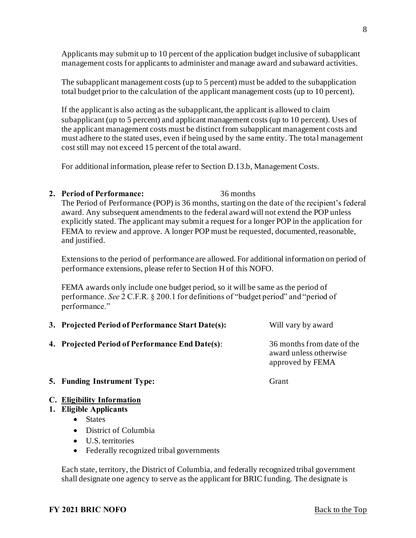Applicants may submit up to 10 percent of the application budget inclusive of subapplicant management costs for applicants to administer and manage award and subaward activities.

The subapplicant management costs (up to 5 percent) must be added to the subapplication total budget prior to the calculation of the applicant management costs (up to 10 percent).

If the applicant is also acting as the subapplicant, the applicant is allowed to claim subapplicant (up to 5 percent) and applicant management costs (up to 10 percent). Uses of the applicant management costs must be distinct from subapplicant management costs and must adhere to the stated uses, even if being used by the same entity. The total management cost still may not exceed 15 percent of the total award.

For additional information, please refer to Section D.13.b, Management Costs.

<span id="page-7-0"></span>**2. Period of Performance:** 36 months

The Period of Performance (POP) is 36 months, starting on the date of the recipient's federal award. Any subsequent amendments to the federal award will not extend the POP unless explicitly stated. The applicant may submit a request for a longer POP in the application for FEMA to review and approve. A longer POP must be requested, documented, reasonable, and justified.

Extensions to the period of performance are allowed. For additional information on period of performance extensions, please refer to Section H of this NOFO.

FEMA awards only include one budget period, so it will be same as the period of performance. *See* 2 C.F.R. § 200.1 for definitions of "budget period" and "period of performance."

<span id="page-7-2"></span><span id="page-7-1"></span>

| 3. Projected Period of Performance Start Date(s): | Will vary by award                                                       |
|---------------------------------------------------|--------------------------------------------------------------------------|
| 4. Projected Period of Performance End Date(s):   | 36 months from date of the<br>award unless otherwise<br>approved by FEMA |
| <b>5. Funding Instrument Type:</b>                | Grant                                                                    |

#### <span id="page-7-4"></span><span id="page-7-3"></span>**C. Eligibility Information**

#### <span id="page-7-5"></span>**1. Eligible Applicants**

- States
- District of Columbia
- U.S. territories
- Federally recognized tribal governments

Each state, territory, the District of Columbia, and federally recognized tribal government shall designate one agency to serve as the applicant for BRIC funding. The designate is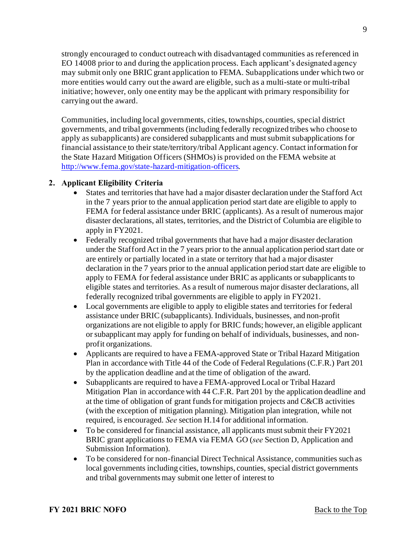strongly encouraged to conduct outreach with disadvantaged communities as referenced in EO 14008 prior to and during the application process. Each applicant's designated agency may submit only one BRIC grant application to FEMA. Subapplications under which two or more entities would carry out the award are eligible, such as a multi-state or multi-tribal initiative; however, only one entity may be the applicant with primary responsibility for carrying out the award.

Communities, including local governments, cities, townships, counties, special district governments, and tribal governments (including federally recognized tribes who choose to apply as subapplicants) are considered subapplicants and must submit subapplications for financial assistance to their state/territory/tribal Applicant agency. Contact information for the State Hazard Mitigation Officers (SHMOs) is provided on the FEMA website at <http://www.fema.gov/state-hazard-mitigation-officers>.

# <span id="page-8-0"></span>**2. Applicant Eligibility Criteria**

- States and territories that have had a major disaster declaration under the Stafford Act in the 7 years prior to the annual application period start date are eligible to apply to FEMA for federal assistance under BRIC (applicants). As a result of numerous major disaster declarations, all states, territories, and the District of Columbia are eligible to apply in FY2021.
- Federally recognized tribal governments that have had a major disaster declaration under the Stafford Act in the 7 years prior to the annual application period start date or are entirely or partially located in a state or territory that had a major disaster declaration in the 7 years prior to the annual application period start date are eligible to apply to FEMA for federal assistance under BRIC as applicants or subapplicants to eligible states and territories. As a result of numerous major disaster declarations, all federally recognized tribal governments are eligible to apply in FY2021.
- Local governments are eligible to apply to eligible states and territories for federal assistance under BRIC (subapplicants). Individuals, businesses, and non-profit organizations are not eligible to apply for BRIC funds; however, an eligible applicant or subapplicant may apply for funding on behalf of individuals, businesses, and nonprofit organizations.
- Applicants are required to have a FEMA-approved State or Tribal Hazard Mitigation Plan in accordance with Title 44 of the Code of Federal Regulations (C.F.R.) Part 201 by the application deadline and at the time of obligation of the award.
- Subapplicants are required to have a FEMA-approved Local or Tribal Hazard Mitigation Plan in accordance with 44 C.F.R. Part 201 by the application deadline and at the time of obligation of grant funds for mitigation projects and C&CB activities (with the exception of mitigation planning). Mitigation plan integration, while not required, is encouraged. *See* section H.14 for additional information.
- To be considered for financial assistance, all applicants must submit their FY2021 BRIC grant applications to FEMA via FEMA GO (*see* Section D, Application and Submission Information).
- To be considered for non-financial Direct Technical Assistance, communities such as local governments including cities, townships, counties, special district governments and tribal governments may submit one letter of interest to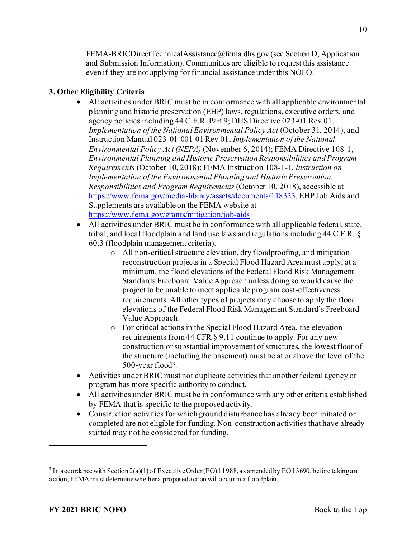FEMA-BRICDirectTechnicalAssistance@fema.dhs.gov (see Section D, Application and Submission Information). Communities are eligible to request this assistance even if they are not applying for financial assistance under this NOFO.

# **3. Other Eligibility Criteria**

- All activities under BRIC must be in conformance with all applicable environmental planning and historic preservation (EHP) laws, regulations, executive orders, and agency policies including 44 C.F.R. Part 9; DHS Directive 023-01 Rev 01, *Implementation of the National Environmental Policy Act* (October 31, 2014), and Instruction Manual 023-01-001-01 Rev 01, *Implementation of the National Environmental Policy Act (NEPA)* (November 6, 2014); FEMA Directive 108-1, *Environmental Planning and Historic Preservation Responsibilities and Program Requirements* (October 10, 2018); FEMA Instruction 108-1-1, *Instruction on Implementation of the Environmental Planning and Historic Preservation Responsibilities and Program Requirements* (October 10, 2018), accessible at [https://www.fema.gov/media-library/assets/documents/118323.](https://www.fema.gov/media-library/assets/documents/118323) EHP Job Aids and Supplements are available on the FEMA website at [https://www.fema.gov/grants/mitigation/job-aids](https://urldefense.proofpoint.com/v2/url?u=https-3A__www.fema.gov_grants_mitigation_job-2Daids&d=DwMFAg&c=TQzoP61-bYDBLzNd0XmHrw&r=noRtC8-THA-H11WyuYaSr40b4IhhRP0KiVBbSggC-WE&m=dsDSdZmS9IWo4WeKmSXUFzLeVYQp7rBxUthDldxG8HA&s=6YnIUY2_GPd3352tHwJUtzHc4T4aIbSovH8vBmwc1us&e=)
- All activities under BRIC must be in conformance with all applicable federal, state, tribal, and local floodplain and land use laws and regulations including 44 C.F.R. § 60.3 (floodplain management criteria).
	- o All non-critical structure elevation, dry floodproofing, and mitigation reconstruction projects in a Special Flood Hazard Area must apply, at a minimum, the flood elevations of the Federal Flood Risk Management Standards Freeboard Value Approach unless doing so would cause the project to be unable to meet applicable program cost-effectiveness requirements. All other types of projects may choose to apply the flood elevations of the Federal Flood Risk Management Standard's Freeboard Value Approach.
	- o For critical actions in the Special Flood Hazard Area, the elevation requirements from 44 CFR § 9.11 continue to apply. For any new construction or substantial improvement of structures, the lowest floor of the structure (including the basement) must be at or above the level of the 500-year flood<sup>3</sup>.
- Activities under BRIC must not duplicate activities that another federal agency or program has more specific authority to conduct.
- All activities under BRIC must be in conformance with any other criteria established by FEMA that is specific to the proposed activity.
- Construction activities for which ground disturbance has already been initiated or completed are not eligible for funding. Non-construction activities that have already started may not be considered for funding.

<sup>&</sup>lt;sup>3</sup> In accordance with Section 2(a)(1) of Executive Order (EO) 11988, as amended by EO 13690, before taking an action, FEMA must determine whether a proposed action will occur in a floodplain.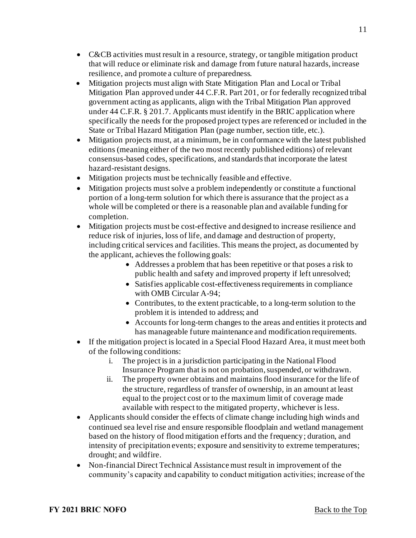- C&CB activities must result in a resource, strategy, or tangible mitigation product that will reduce or eliminate risk and damage from future natural hazards, increase resilience, and promote a culture of preparedness.
- Mitigation projects must align with State Mitigation Plan and Local or Tribal Mitigation Plan approved under 44 C.F.R. Part 201, or for federally recognized tribal government acting as applicants, align with the Tribal Mitigation Plan approved under 44 C.F.R. § 201.7. Applicants must identify in the BRIC application where specifically the needs for the proposed project types are referenced or included in the State or Tribal Hazard Mitigation Plan (page number, section title, etc.).
- Mitigation projects must, at a minimum, be in conformance with the latest published editions (meaning either of the two most recently published editions) of relevant consensus-based codes, specifications, and standards that incorporate the latest hazard-resistant designs.
- Mitigation projects must be technically feasible and effective.
- Mitigation projects must solve a problem independently or constitute a functional portion of a long-term solution for which there is assurance that the project as a whole will be completed or there is a reasonable plan and available funding for completion.
- Mitigation projects must be cost-effective and designed to increase resilience and reduce risk of injuries, loss of life, and damage and destruction of property, including critical services and facilities. This means the project, as documented by the applicant, achieves the following goals:
	- Addresses a problem that has been repetitive or that poses a risk to public health and safety and improved property if left unresolved;
	- Satisfies applicable cost-effectiveness requirements in compliance with OMB Circular A-94;
	- Contributes, to the extent practicable, to a long-term solution to the problem it is intended to address; and
	- Accounts for long-term changes to the areas and entities it protects and has manageable future maintenance and modification requirements.
- If the mitigation project is located in a Special Flood Hazard Area, it must meet both of the following conditions:
	- i. The project is in a jurisdiction participating in the National Flood Insurance Program that is not on probation, suspended, or withdrawn.
	- ii. The property owner obtains and maintains flood insurance for the life of the structure, regardless of transfer of ownership, in an amount at least equal to the project cost or to the maximum limit of coverage made available with respect to the mitigated property, whichever is less.
- Applicants should consider the effects of climate change including high winds and continued sea level rise and ensure responsible floodplain and wetland management based on the history of flood mitigation efforts and the frequency; duration, and intensity of precipitation events; exposure and sensitivity to extreme temperatures; drought; and wildfire.
- Non-financial Direct Technical Assistance must result in improvement of the community's capacity and capability to conduct mitigation activities; increase of the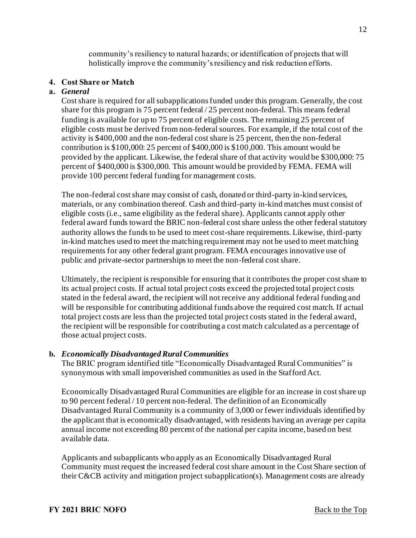community's resiliency to natural hazards; or identification of projects that will holistically improve the community's resiliency and risk reduction efforts.

#### <span id="page-11-0"></span>**4. Cost Share or Match**

#### **a.** *General*

Cost share is required for all subapplications funded under this program. Generally, the cost share for this program is 75 percent federal / 25 percent non-federal. This means federal funding is available for up to 75 percent of eligible costs. The remaining 25 percent of eligible costs must be derived from non-federal sources. For example, if the total cost of the activity is \$400,000 and the non-federal cost share is 25 percent, then the non-federal contribution is \$100,000: 25 percent of \$400,000 is \$100,000. This amount would be provided by the applicant. Likewise, the federal share of that activity would be \$300,000: 75 percent of \$400,000 is \$300,000. This amount would be provided by FEMA. FEMA will provide 100 percent federal funding for management costs.

The non-federal cost share may consist of cash, donated or third-party in-kind services, materials, or any combination thereof. Cash and third-party in-kind matches must consist of eligible costs (i.e., same eligibility as the federal share). Applicants cannot apply other federal award funds toward the BRIC non-federal cost share unless the other federal statutory authority allows the funds to be used to meet cost-share requirements. Likewise, third-party in-kind matches used to meet the matching requirement may not be used to meet matching requirements for any other federal grant program. FEMA encourages innovative use of public and private-sector partnerships to meet the non-federal cost share.

Ultimately, the recipient is responsible for ensuring that it contributes the proper cost share to its actual project costs. If actual total project costs exceed the projected total project costs stated in the federal award, the recipient will not receive any additional federal funding and will be responsible for contributing additional funds above the required cost match. If actual total project costs are less than the projected total project costs stated in the federal award, the recipient will be responsible for contributing a cost match calculated as a percentage of those actual project costs.

#### **b.** *Economically Disadvantaged Rural Communities*

The BRIC program identified title "Economically Disadvantaged Rural Communities" is synonymous with small impoverished communities as used in the Stafford Act.

Economically Disadvantaged Rural Communities are eligible for an increase in cost share up to 90 percent federal / 10 percent non-federal. The definition of an Economically Disadvantaged Rural Community is a community of 3,000 or fewer individuals identified by the applicant that is economically disadvantaged, with residents having an average per capita annual income not exceeding 80 percent of the national per capita income, based on best available data.

Applicants and subapplicants who apply as an Economically Disadvantaged Rural Community must request the increased federal cost share amount in the Cost Share section of their C&CB activity and mitigation project subapplication(s). Management costs are already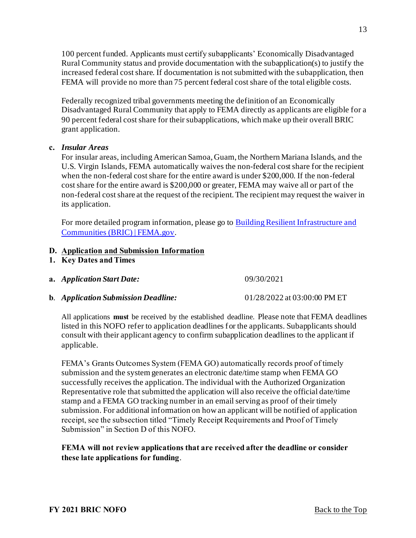100 percent funded. Applicants must certify subapplicants' Economically Disadvantaged Rural Community status and provide documentation with the subapplication(s) to justify the increased federal cost share. If documentation is not submitted with the subapplication, then FEMA will provide no more than 75 percent federal cost share of the total eligible costs.

Federally recognized tribal governments meeting the definition of an Economically Disadvantaged Rural Community that apply to FEMA directly as applicants are eligible for a 90 percent federal cost share for their subapplications, which make up their overall BRIC grant application.

#### **c.** *Insular Areas*

For insular areas, including American Samoa, Guam, the Northern Mariana Islands, and the U.S. Virgin Islands, FEMA automatically waives the non-federal cost share for the recipient when the non-federal cost share for the entire award is under \$200,000. If the non-federal cost share for the entire award is \$200,000 or greater, FEMA may waive all or part of the non-federal cost share at the request of the recipient. The recipient may request the waiver in its application.

[For more detailed program information, please go to](https://www.fema.gov/grants/mitigation/building-resilient-infrastructure-communities) Building Resilient Infrastructure and Communities (BRIC) | FEMA.gov.

## <span id="page-12-0"></span>**D. Application and Submission Information**

- <span id="page-12-1"></span>**1. Key Dates and Times**
- **a.** *Application Start Date:* 09/30/2021
- **b**. *Application Submission Deadline:* 01/28/2022 at 03:00:00 PM ET

All applications **must** be received by the established deadline. Please note that FEMA deadlines listed in this NOFO refer to application deadlines for the applicants. Subapplicants should consult with their applicant agency to confirm subapplication deadlines to the applicant if applicable.

FEMA's Grants Outcomes System (FEMA GO) automatically records proof of timely submission and the system generates an electronic date/time stamp when FEMA GO successfully receives the application. The individual with the Authorized Organization Representative role that submitted the application will also receive the official date/time stamp and a FEMA GO tracking number in an email serving as proof of their timely submission. For additional information on how an applicant will be notified of application receipt, see the subsection titled "Timely Receipt Requirements and Proof of Timely Submission" in Section D of this NOFO.

## **FEMA will not review applications that are received after the deadline or consider these late applications for funding**.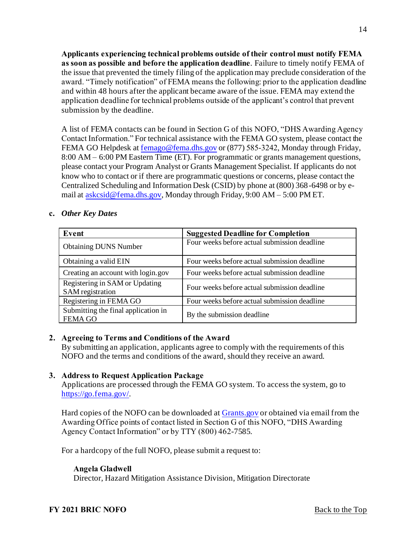**Applicants experiencing technical problems outside of their control must notify FEMA as soon as possible and before the application deadline**. Failure to timely notify FEMA of the issue that prevented the timely filing of the application may preclude consideration of the award. "Timely notification" of FEMA means the following: prior to the application deadline and within 48 hours after the applicant became aware of the issue. FEMA may extend the application deadline for technical problems outside of the applicant's control that prevent submission by the deadline.

A list of FEMA contacts can be found in Section G of this NOFO, "DHS Awarding Agency Contact Information." For technical assistance with the FEMA GO system, please contact the FEMA GO Helpdesk [at femago@fema.dhs.gov](mailto:femago@fema.dhs.gov) or (877) 585-3242, Monday through Friday, 8:00 AM – 6:00 PM Eastern Time (ET). For programmatic or grants management questions, please contact your Program Analyst or Grants Management Specialist. If applicants do not know who to contact or if there are programmatic questions or concerns, please contact the Centralized Scheduling and Information Desk (CSID) by phone at (800) 368-6498 or by email at [askcsid@fema.dhs.gov,](mailto:askcsid@fema.dhs.gov) Monday through Friday, 9:00 AM – 5:00 PM ET.

#### **c.** *Other Key Dates*

| Event                                                 | <b>Suggested Deadline for Completion</b>     |
|-------------------------------------------------------|----------------------------------------------|
| <b>Obtaining DUNS Number</b>                          | Four weeks before actual submission deadline |
| Obtaining a valid EIN                                 | Four weeks before actual submission deadline |
| Creating an account with login.gov                    | Four weeks before actual submission deadline |
| Registering in SAM or Updating<br>SAM registration    | Four weeks before actual submission deadline |
| Registering in FEMA GO                                | Four weeks before actual submission deadline |
| Submitting the final application in<br><b>FEMA GO</b> | By the submission deadline                   |

## <span id="page-13-0"></span>**2. Agreeing to Terms and Conditions of the Award**

By submitting an application, applicants agree to comply with the requirements of this NOFO and the terms and conditions of the award, should they receive an award.

#### <span id="page-13-1"></span>**3. Address to Request Application Package**

Applications are processed through the FEMA GO system. To access the system, go to <https://go.fema.gov/>.

Hard copies of the NOFO can be downloaded at [Grants.gov](https://www.grants.gov/) or obtained via email from the Awarding Office points of contact listed in Section G of this NOFO, "DHS Awarding Agency Contact Information" or by TTY (800) 462-7585.

For a hardcopy of the full NOFO, please submit a request to:

## **Angela Gladwell**

Director, Hazard Mitigation Assistance Division, Mitigation Directorate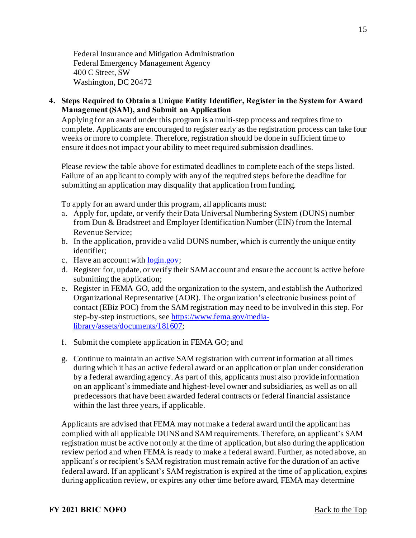Federal Insurance and Mitigation Administration Federal Emergency Management Agency 400 C Street, SW Washington, DC 20472

<span id="page-14-0"></span>**4. Steps Required to Obtain a Unique Entity Identifier, Register in the System for Award Management (SAM), and Submit an Application** 

Applying for an award under this program is a multi-step process and requires time to complete. Applicants are encouraged to register early as the registration process can take four weeks or more to complete. Therefore, registration should be done in sufficient time to ensure it does not impact your ability to meet required submission deadlines.

Please review the table above for estimated deadlines to complete each of the steps listed. Failure of an applicant to comply with any of the required steps before the deadline for submitting an application may disqualify that application from funding.

To apply for an award under this program, all applicants must:

- a. Apply for, update, or verify their Data Universal Numbering System (DUNS) number from Dun & Bradstreet and Employer Identification Number (EIN) from the Internal Revenue Service;
- b. In the application, provide a valid DUNS number, which is currently the unique entity identifier;
- c. Have an account with [login.gov](https://www.login.gov/);
- d. Register for, update, or verify their SAM account and ensure the account is active before submitting the application;
- e. Register in FEMA GO, add the organization to the system, and establish the Authorized Organizational Representative (AOR). The organization's electronic business point of contact (EBiz POC) from the SAM registration may need to be involved in this step. For step-by-step instructions, see https://www.fema.gov/media[library/assets/documents/181607;](https://www.fema.gov/media-library/assets/documents/181607)
- f. Submit the complete application in FEMA GO; and
- g. Continue to maintain an active SAM registration with current information at all times during which it has an active federal award or an application or plan under consideration by a federal awarding agency. As part of this, applicants must also provide information on an applicant's immediate and highest-level owner and subsidiaries, as well as on all predecessors that have been awarded federal contracts or federal financial assistance within the last three years, if applicable.

Applicants are advised that FEMA may not make a federal award until the applicant has complied with all applicable DUNS and SAM requirements. Therefore, an applicant's SAM registration must be active not only at the time of application, but also during the application review period and when FEMA is ready to make a federal award. Further, as noted above, an applicant's or recipient's SAM registration must remain active for the duration of an active federal award. If an applicant's SAM registration is expired at the time of application, expires during application review, or expires any other time before award, FEMA may determine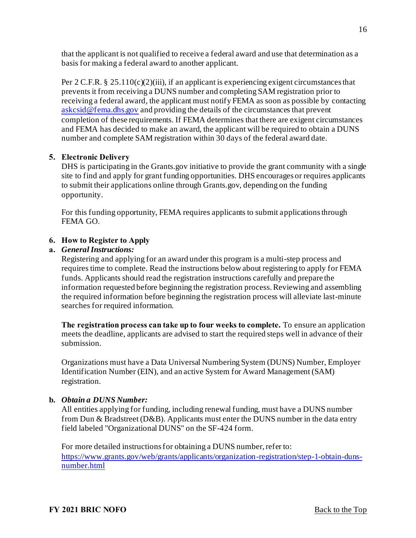that the applicant is not qualified to receive a federal award and use that determination as a basis for making a federal award to another applicant.

Per 2 C.F.R. § 25.110(c)(2)(iii), if an applicant is experiencing exigent circumstances that prevents it from receiving a DUNS number and completing SAM registration prior to receiving a federal award, the applicant must notify FEMA as soon as possible by contacting [askcsid@fema.dhs.gov](mailto:askcsid@fema.dhs.gov) and providing the details of the circumstances that prevent completion of these requirements. If FEMA determines that there are exigent circumstances and FEMA has decided to make an award, the applicant will be required to obtain a DUNS number and complete SAM registration within 30 days of the federal award date.

#### <span id="page-15-0"></span>**5. Electronic Delivery**

DHS is participating in the Grants.gov initiative to provide the grant community with a single site to find and apply for grant funding opportunities. DHS encourages or requires applicants to submit their applications online through Grants.gov, depending on the funding opportunity.

For this funding opportunity, FEMA requires applicants to submit applications through FEMA GO.

## <span id="page-15-1"></span>**6. How to Register to Apply**

## **a.** *General Instructions:*

Registering and applying for an award under this program is a multi-step process and requires time to complete. Read the instructions below about registering to apply for FEMA funds. Applicants should read the registration instructions carefully and prepare the information requested before beginning the registration process. Reviewing and assembling the required information before beginning the registration process will alleviate last-minute searches for required information.

**The registration process can take up to four weeks to complete.** To ensure an application meets the deadline, applicants are advised to start the required steps well in advance of their submission.

Organizations must have a Data Universal Numbering System (DUNS) Number, Employer Identification Number (EIN), and an active System for Award Management (SAM) registration.

#### **b.** *Obtain a DUNS Number:*

All entities applying for funding, including renewal funding, must have a DUNS number from Dun & Bradstreet (D&B). Applicants must enter the DUNS number in the data entry field labeled "Organizational DUNS" on the SF-424 form.

For more detailed instructions for obtaining a DUNS number, refer to: [https://www.grants.gov/web/grants/applicants/organization-registration/step-1-obtain-duns](https://www.grants.gov/web/grants/applicants/organization-registration/step-1-obtain-duns-number.html)number.html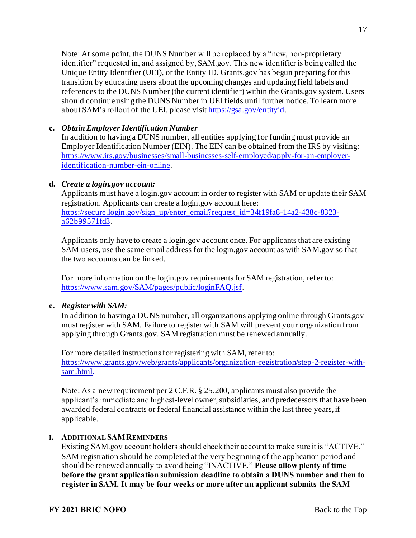Note: At some point, the DUNS Number will be replaced by a "new, non-proprietary identifier" requested in, and assigned by, SAM.gov. This new identifier is being called the Unique Entity Identifier (UEI), or the Entity ID. Grants.gov has begun preparing for this transition by educating users about the upcoming changes and updating field labels and references to the DUNS Number (the current identifier) within the Grants.gov system. Users should continue using the DUNS Number in UEI fields until further notice. To learn more about SAM's rollout of the UEI, please visi[t https://gsa.gov/entityid](https://gsa.gov/entityid).

#### **c.** *Obtain Employer Identification Number*

In addition to having a DUNS number, all entities applying for funding must provide an Employer Identification Number (EIN). The EIN can be obtained from the IRS by visiting: [https://www.irs.gov/businesses/small-businesses-self-employed/apply-for-an-employer](https://www.irs.gov/businesses/small-businesses-self-employed/apply-for-an-employer-identification-number-ein-online)identification-number-ein-online.

#### **d.** *Create a login.gov account:*

Applicants must have a login.gov account in order to register with SAM or update their SAM registration. Applicants can create a login.gov account here: [https://secure.login.gov/sign\\_up/enter\\_email?request\\_id=34f19fa8-14a2-438c-8323](https://secure.login.gov/sign_up/enter_email?request_id=34f19fa8-14a2-438c-8323-a62b99571fd3) a62b99571fd3.

Applicants only have to create a login.gov account once. For applicants that are existing SAM users, use the same email address for the login.gov account as with SAM.gov so that the two accounts can be linked.

For more information on the login.gov requirements for SAM registration, refer to: <https://www.sam.gov/SAM/pages/public/loginFAQ.jsf>.

## **e.** *Register with SAM:*

In addition to having a DUNS number, all organizations applying online through Grants.gov must register with SAM. Failure to register with SAM will prevent your organization from applying through Grants.gov. SAM registration must be renewed annually.

For more detailed instructions for registering with SAM, refer to: [https://www.grants.gov/web/grants/applicants/organization-registration/step-2-register-with](https://www.grants.gov/web/grants/applicants/organization-registration/step-2-register-with-sam.html)sam.html.

Note: As a new requirement per 2 C.F.R. § 25.200, applicants must also provide the applicant's immediate and highest-level owner, subsidiaries, and predecessors that have been awarded federal contracts or federal financial assistance within the last three years, if applicable.

#### **I. ADDITIONAL SAMREMINDERS**

Existing SAM.gov account holders should check their account to make sure it is "ACTIVE." SAM registration should be completed at the very beginning of the application period and should be renewed annually to avoid being "INACTIVE." **Please allow plenty of time before the grant application submission deadline to obtain a DUNS number and then to register in SAM. It may be four weeks or more after an applicant submits the SAM**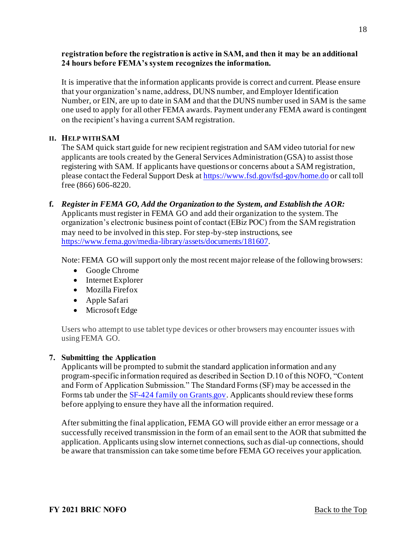#### **registration before the registration is active in SAM, and then it may be an additional 24 hours before FEMA's system recognizes the information.**

It is imperative that the information applicants provide is correct and current. Please ensure that your organization's name, address, DUNS number, and Employer Identification Number, or EIN, are up to date in SAM and that the DUNS number used in SAM is the same one used to apply for all other FEMA awards. Payment under any FEMA award is contingent on the recipient's having a current SAM registration.

#### **II. HELP WITH SAM**

The SAM quick start guide for new recipient registration and SAM video tutorial for new applicants are tools created by the General Services Administration (GSA) to assist those registering with SAM. If applicants have questions or concerns about a SAM registration, please contact the Federal Support Desk a[t https://www.fsd.gov/fsd-gov/home.do](https://www.fsd.gov/fsd-gov/home.do) or call toll free (866) 606-8220.

**f.** *Register in FEMA GO, Add the Organization to the System, and Establish the AOR:*  Applicants must register in FEMA GO and add their organization to the system. The organization's electronic business point of contact (EBiz POC) from the SAM registration may need to be involved in this step. For step-by-step instructions, see <https://www.fema.gov/media-library/assets/documents/181607>.

Note: FEMA GO will support only the most recent major release of the following browsers:

- Google Chrome
- Internet Explorer
- Mozilla Firefox
- Apple Safari
- Microsoft Edge

Users who attempt to use tablet type devices or other browsers may encounter issues with using FEMA GO.

## <span id="page-17-0"></span>**7. Submitting the Application**

Applicants will be prompted to submit the standard application information and any program-specific information required as described in Section D.10 of this NOFO, "Content and Form of Application Submission." The Standard Forms (SF) may be accessed in the Forms tab under the **SF-424 family on Grants.gov.** Applicants should review these forms before applying to ensure they have all the information required.

After submitting the final application, FEMA GO will provide either an error message or a successfully received transmission in the form of an email sent to the AOR that submitted the application. Applicants using slow internet connections, such as dial-up connections, should be aware that transmission can take some time before FEMA GO receives your application.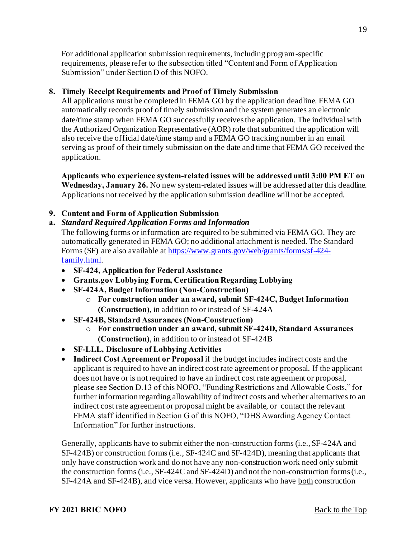For additional application submission requirements, including program-specific requirements, please refer to the subsection titled "Content and Form of Application Submission" under Section D of this NOFO.

#### <span id="page-18-0"></span>**8. Timely Receipt Requirements and Proof of Timely Submission**

All applications must be completed in FEMA GO by the application deadline. FEMA GO automatically records proof of timely submission and the system generates an electronic date/time stamp when FEMA GO successfully receives the application. The individual with the Authorized Organization Representative (AOR) role that submitted the application will also receive the official date/time stamp and a FEMA GO tracking number in an email serving as proof of their timely submission on the date and time that FEMA GO received the application.

**Applicants who experience system-related issues will be addressed until 3:00 PM ET on Wednesday, January 26.** No new system-related issues will be addressed after this deadline. Applications not received by the application submission deadline will not be accepted.

#### <span id="page-18-1"></span>**9. Content and Form of Application Submission**

**a.** *Standard Required Application Forms and Information* 

The following forms or information are required to be submitted via FEMA GO. They are automatically generated in FEMA GO; no additional attachment is needed. The Standard [Forms \(SF\) are also available at https://www.grants.gov/web/grants/forms/sf-424](https://www.grants.gov/web/grants/forms/sf-424-family.html) family.html.

- **SF-424, Application for Federal Assistance**
- **Grants.gov Lobbying Form, Certification Regarding Lobbying**
- **SF-424A, Budget Information (Non-Construction)**
	- o **For construction under an award, submit SF-424C, Budget Information (Construction)**, in addition to or instead of SF-424A
- **SF-424B, Standard Assurances (Non-Construction)**
	- o **For construction under an award, submit SF-424D, Standard Assurances (Construction)**, in addition to or instead of SF-424B
- **SF-LLL, Disclosure of Lobbying Activities**
- **Indirect Cost Agreement or Proposal** if the budget includes indirect costs and the applicant is required to have an indirect cost rate agreement or proposal. If the applicant does not have or is not required to have an indirect cost rate agreement or proposal, please see Section D.13 of this NOFO, "Funding Restrictions and Allowable Costs," for further information regarding allowability of indirect costs and whether alternatives to an indirect cost rate agreement or proposal might be available, or contact the relevant FEMA staff identified in Section G of this NOFO, "DHS Awarding Agency Contact Information" for further instructions.

Generally, applicants have to submit either the non-construction forms (i.e., SF-424A and SF-424B) or construction forms (i.e., SF-424C and SF-424D), meaning that applicants that only have construction work and do not have any non-construction work need only submit the construction forms (i.e., SF-424C and SF-424D) and not the non-construction forms (i.e., SF-424A and SF-424B), and vice versa. However, applicants who have both construction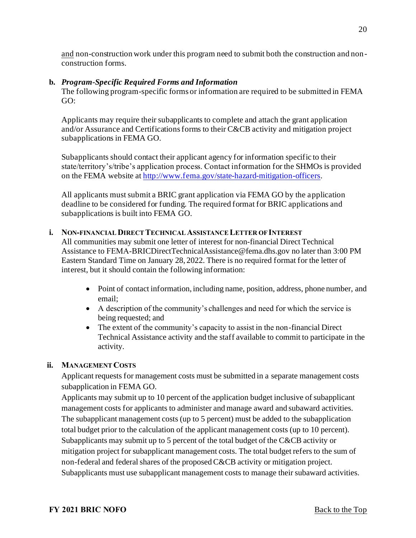and non-construction work under this program need to submit both the construction and nonconstruction forms.

#### **b.** *Program-Specific Required Forms and Information*

The following program-specific forms or information are required to be submitted in FEMA GO:

Applicants may require their subapplicants to complete and attach the grant application and/or Assurance and Certifications forms to their C&CB activity and mitigation project subapplications in FEMA GO.

Subapplicants should contact their applicant agency for information specific to their state/territory's/tribe's application process. Contact information for the SHMOs is provided on the FEMA website a[t http://www.fema.gov/state-hazard-mitigation-officers](http://www.fema.gov/state-hazard-mitigation-officers).

All applicants must submit a BRIC grant application via FEMA GO by the application deadline to be considered for funding. The required format for BRIC applications and subapplications is built into FEMA GO.

#### **i. NON-FINANCIAL DIRECT TECHNICAL ASSISTANCE LETTER OF INTEREST**

All communities may submit one letter of interest for non-financial Direct Technical Assistance to FEMA-BRICDirectTechnicalAssistance@fema.dhs.gov no later than 3:00 PM Eastern Standard Time on January 28, 2022. There is no required format for the letter of interest, but it should contain the following information:

- Point of contact information, including name, position, address, phone number, and email;
- A description of the community's challenges and need for which the service is being requested; and
- The extent of the community's capacity to assist in the non-financial Direct Technical Assistance activity and the staff available to commit to participate in the activity.

## **ii. MANAGEMENT COSTS**

Applicant requests for management costs must be submitted in a separate management costs subapplication in FEMA GO.

Applicants may submit up to 10 percent of the application budget inclusive of subapplicant management costs for applicants to administer and manage award and subaward activities. The subapplicant management costs (up to 5 percent) must be added to the subapplication total budget prior to the calculation of the applicant management costs (up to 10 percent). Subapplicants may submit up to 5 percent of the total budget of the C&CB activity or mitigation project for subapplicant management costs. The total budget refers to the sum of non-federal and federal shares of the proposed C&CB activity or mitigation project. Subapplicants must use subapplicant management costs to manage their subaward activities.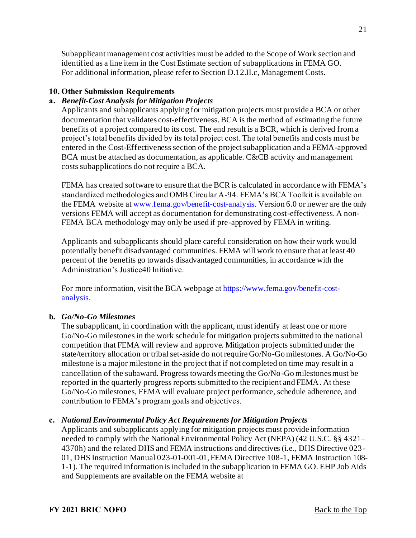Subapplicant management cost activities must be added to the Scope of Work section and identified as a line item in the Cost Estimate section of subapplications in FEMA GO. For additional information, please refer to Section D.12.II.c, Management Costs.

## <span id="page-20-0"></span>**10. Other Submission Requirements**

# **a.** *Benefit-Cost Analysis for Mitigation Projects*

Applicants and subapplicants applying for mitigation projects must provide a BCA or other documentation that validates cost-effectiveness. BCA is the method of estimating the future benefits of a project compared to its cost. The end result is a BCR, which is derived from a project's total benefits divided by its total project cost. The total benefits and costs must be entered in the Cost-Effectiveness section of the project subapplication and a FEMA-approved BCA must be attached as documentation, as applicable. C&CB activity and management costs subapplications do not require a BCA.

FEMA has created software to ensure that the BCR is calculated in accordance with FEMA's standardized methodologies and OMB Circular A-94. FEMA's BCA Toolkit is available on the FEMA website at [www.fema.gov/benefit-cost-analysis](http://www.fema.gov/benefit-cost-analysis). Version 6.0 or newer are the only versions FEMA will accept as documentation for demonstrating cost-effectiveness. A non-FEMA BCA methodology may only be used if pre-approved by FEMA in writing.

Applicants and subapplicants should place careful consideration on how their work would potentially benefit disadvantaged communities. FEMA will work to ensure that at least 40 percent of the benefits go towards disadvantaged communities, in accordance with the Administration's Justice40 Initiative.

[For more information, visit the BCA webpage at](https://www.fema.gov/benefit-cost-analysis) https://www.fema.gov/benefit-costanalysis.

## **b.** *Go/No-Go Milestones*

The subapplicant, in coordination with the applicant, must identify at least one or more Go/No-Go milestones in the work schedule for mitigation projects submitted to the national competition that FEMA will review and approve. Mitigation projects submitted under the state/territory allocation or tribal set-aside do not require Go/No-Go milestones. A Go/No-Go milestone is a major milestone in the project that if not completed on time may result in a cancellation of the subaward. Progress towards meeting the Go/No-Go milestones must be reported in the quarterly progress reports submitted to the recipient and FEMA. At these Go/No-Go milestones, FEMA will evaluate project performance, schedule adherence, and contribution to FEMA's program goals and objectives.

## **c.** *National Environmental Policy Act Requirements for Mitigation Projects*

Applicants and subapplicants applying for mitigation projects must provide information needed to comply with the National Environmental Policy Act (NEPA) (42 U.S.C. §§ 4321– 4370h) and the related DHS and FEMA instructions and directives (i.e., DHS Directive 023 - 01, DHS Instruction Manual 023-01-001-01, FEMA Directive 108-1, FEMA Instruction 108- 1-1). The required information is included in the subapplication in FEMA GO. EHP Job Aids and Supplements are available on the FEMA website at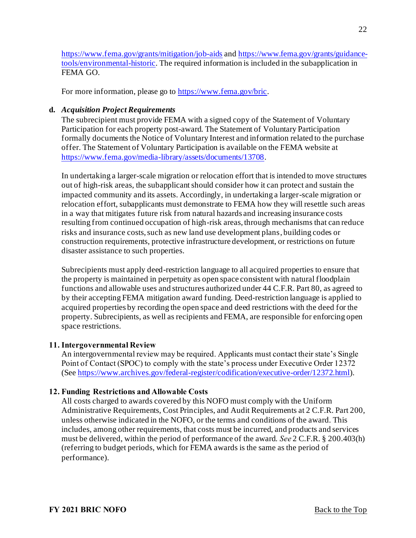[https://www.fema.gov/grants/mitigation/job-aids](https://urldefense.us/v2/url?u=https-3A__urldefense.proofpoint.com_v2_url-3Fu-3Dhttps-2D3A-5F-5Fwww.fema.gov-5Fgrants-5Fmitigation-5Fjob-2D2Daids-26d-3DDwMFAg-26c-3DTQzoP61-2DbYDBLzNd0XmHrw-26r-3DnoRtC8-2DTHA-2DH11WyuYaSr40b4IhhRP0KiVBbSggC-2DWE-26m-3DdsDSdZmS9IWo4WeKmSXUFzLeVYQp7rBxUthDldxG8HA-26s-3D6YnIUY2-5FGPd3352tHwJUtzHc4T4aIbSovH8vBmwc1us-26e-3D&d=DwMF-g&c=2plI3hXH8ww3j2g8pV19QHIf4SmK_I-Eol_p9P0CttE&r=-0SD75GrixyvvadsNkcQiryqxlDKwOX9qoNVUU5qtiArsJkN8vEZqQe-CliVKH_A&m=1shnVEx39nyPgGZ0A07ddv-AVVLPJ-Y-NxKyGcqENlo&s=E6YRECxCe-pC3CCVIJOS_rCDDRcM6ZXR-AbchY-6QbY&e=) and [https://www.fema.gov/grants/guidance](https://www.fema.gov/grants/guidance-tools/environmental-historic)tools/environmental-historic. The required information is included in the subapplication in FEMA GO.

For more information, please go t[o https://www.fema.gov/bric](https://www.fema.gov/bric).

#### **d.** *Acquisition Project Requirements*

The subrecipient must provide FEMA with a signed copy of the Statement of Voluntary Participation for each property post-award. The Statement of Voluntary Participation formally documents the Notice of Voluntary Interest and information related to the purchase offer. The Statement of Voluntary Participation is available on the FEMA website at <https://www.fema.gov/media-library/assets/documents/13708>.

In undertaking a larger-scale migration or relocation effort that is intended to move structures out of high-risk areas, the subapplicant should consider how it can protect and sustain the impacted community and its assets. Accordingly, in undertaking a larger-scale migration or relocation effort, subapplicants must demonstrate to FEMA how they will resettle such areas in a way that mitigates future risk from natural hazards and increasing insurance costs resulting from continued occupation of high-risk areas, through mechanisms that can reduce risks and insurance costs, such as new land use development plans, building codes or construction requirements, protective infrastructure development, or restrictions on future disaster assistance to such properties.

Subrecipients must apply deed-restriction language to all acquired properties to ensure that the property is maintained in perpetuity as open space consistent with natural floodplain functions and allowable uses and structures authorized under 44 C.F.R. Part 80, as agreed to by their accepting FEMA mitigation award funding. Deed-restriction language is applied to acquired properties by recording the open space and deed restrictions with the deed for the property. Subrecipients, as well as recipients and FEMA, are responsible for enforcing open space restrictions.

#### <span id="page-21-0"></span>**11. Intergovernmental Review**

An intergovernmental review may be required. Applicants must contact their state's Single Point of Contact (SPOC) to comply with the state's process under Executive Order 12372 (See<https://www.archives.gov/federal-register/codification/executive-order/12372.html>).

#### <span id="page-21-1"></span>**12. Funding Restrictions and Allowable Costs**

All costs charged to awards covered by this NOFO must comply with the Uniform Administrative Requirements, Cost Principles, and Audit Requirements at 2 C.F.R. Part 200, unless otherwise indicated in the NOFO, or the terms and conditions of the award. This includes, among other requirements, that costs must be incurred, and products and services must be delivered, within the period of performance of the award. *See* 2 C.F.R. § 200.403(h) (referring to budget periods, which for FEMA awards is the same as the period of performance).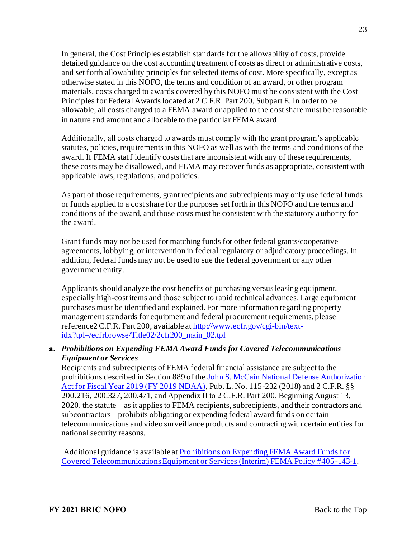In general, the Cost Principles establish standards for the allowability of costs, provide detailed guidance on the cost accounting treatment of costs as direct or administrative costs, and set forth allowability principles for selected items of cost. More specifically, except as otherwise stated in this NOFO, the terms and condition of an award, or other program materials, costs charged to awards covered by this NOFO must be consistent with the Cost Principles for Federal Awards located at 2 C.F.R. Part 200, Subpart E. In order to be allowable, all costs charged to a FEMA award or applied to the cost share must be reasonable in nature and amount and allocable to the particular FEMA award.

Additionally, all costs charged to awards must comply with the grant program's applicable statutes, policies, requirements in this NOFO as well as with the terms and conditions of the award. If FEMA staff identify costs that are inconsistent with any of these requirements, these costs may be disallowed, and FEMA may recover funds as appropriate, consistent with applicable laws, regulations, and policies.

As part of those requirements, grant recipients and subrecipients may only use federal funds or funds applied to a cost share for the purposes set forth in this NOFO and the terms and conditions of the award, and those costs must be consistent with the statutory authority for the award.

Grant funds may not be used for matching funds for other federal grants/cooperative agreements, lobbying, or intervention in federal regulatory or adjudicatory proceedings. In addition, federal funds may not be used to sue the federal government or any other government entity.

Applicants should analyze the cost benefits of purchasing versus leasing equipment, especially high-cost items and those subject to rapid technical advances. Large equipment purchases must be identified and explained. For more information regarding property management standards for equipment and federal procurement requirements, please [reference2 C.F.R. Part 200, available at http://www.ecfr.gov/cgi-bin/text](http://www.ecfr.gov/cgi-bin/text-idx?tpl=/ecfrbrowse/Title02/2cfr200_main_02.tpl)idx?tpl=/ecfrbrowse/Title02/2cfr200\_main\_02.tpl

## **a.** *Prohibitions on Expending FEMA Award Funds for Covered Telecommunications Equipment or Services*

Recipients and subrecipients of FEMA federal financial assistance are subject to the [prohibitions described in Section 889 of the John S. McCain National Defense Authorization](https://www.congress.gov/bill/115th-congress/house-bill/5515/text?format=txt)  Act for Fiscal Year 2019 (FY 2019 NDAA), Pub. L. No. 115-232 (2018) and 2 C.F.R. §§ 200.216, 200.327, 200.471, and Appendix II to 2 C.F.R. Part 200. Beginning August 13, 2020, the statute – as it applies to FEMA recipients, subrecipients, and their contractors and subcontractors – prohibits obligating or expending federal award funds on certain telecommunications and video surveillance products and contracting with certain entities for national security reasons.

[Additional guidance is available at Prohibitions on Expending FEMA Award Funds for](https://www.fema.gov/sites/default/files/documents/fema_prohibitions-expending-fema-award-funds-covered-telecommunications-equipment-services.pdf)  Covered Telecommunications Equipment or Services (Interim) FEMA Policy #405-143-1.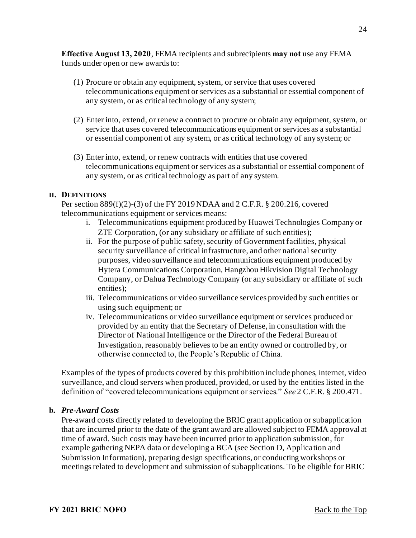**Effective August 13, 2020**, FEMA recipients and subrecipients **may not** use any FEMA funds under open or new awards to:

- (1) Procure or obtain any equipment, system, or service that uses covered telecommunications equipment or services as a substantial or essential component of any system, or as critical technology of any system;
- (2) Enter into, extend, or renew a contract to procure or obtain any equipment, system, or service that uses covered telecommunications equipment or services as a substantial or essential component of any system, or as critical technology of any system; or
- (3) Enter into, extend, or renew contracts with entities that use covered telecommunications equipment or services as a substantial or essential component of any system, or as critical technology as part of any system.

#### **II. DEFINITIONS**

Per section 889(f)(2)-(3) of the FY 2019 NDAA and 2 C.F.R. § 200.216, covered telecommunications equipment or services means:

- i. Telecommunications equipment produced by Huawei Technologies Company or ZTE Corporation, (or any subsidiary or affiliate of such entities);
- ii. For the purpose of public safety, security of Government facilities, physical security surveillance of critical infrastructure, and other national security purposes, video surveillance and telecommunications equipment produced by Hytera Communications Corporation, Hangzhou Hikvision Digital Technology Company, or Dahua Technology Company (or any subsidiary or affiliate of such entities);
- iii. Telecommunications or video surveillance services provided by such entities or using such equipment; or
- iv. Telecommunications or video surveillance equipment or services produced or provided by an entity that the Secretary of Defense, in consultation with the Director of National Intelligence or the Director of the Federal Bureau of Investigation, reasonably believes to be an entity owned or controlled by, or otherwise connected to, the People's Republic of China.

Examples of the types of products covered by this prohibition include phones, internet, video surveillance, and cloud servers when produced, provided, or used by the entities listed in the definition of "covered telecommunications equipment or services." *See* 2 C.F.R. § 200.471.

#### **b.** *Pre-Award Costs*

Pre-award costs directly related to developing the BRIC grant application or subapplication that are incurred prior to the date of the grant award are allowed subject to FEMA approval at time of award. Such costs may have been incurred prior to application submission, for example gathering NEPA data or developing a BCA (see Section D, Application and Submission Information), preparing design specifications, or conducting workshops or meetings related to development and submission of subapplications. To be eligible for BRIC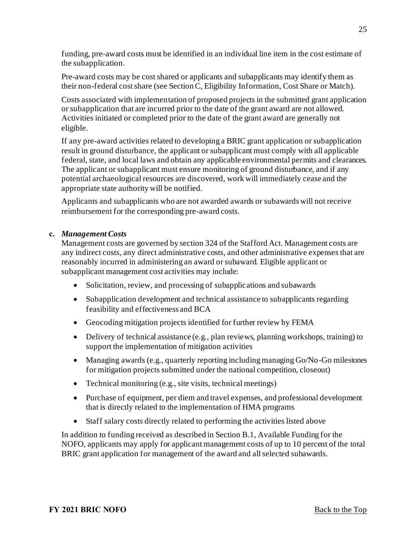funding, pre-award costs must be identified in an individual line item in the cost estimate of the subapplication.

Pre-award costs may be cost shared or applicants and subapplicants may identify them as their non-federal cost share (see Section C, Eligibility Information, Cost Share or Match).

Costs associated with implementation of proposed projects in the submitted grant application or subapplication that are incurred prior to the date of the grant award are not allowed. Activities initiated or completed prior to the date of the grant award are generally not eligible.

If any pre-award activities related to developing a BRIC grant application or subapplication result in ground disturbance, the applicant or subapplicant must comply with all applicable federal, state, and local laws and obtain any applicable environmental permits and clearances. The applicant or subapplicant must ensure monitoring of ground disturbance, and if any potential archaeological resources are discovered, work will immediately cease and the appropriate state authority will be notified.

Applicants and subapplicants who are not awarded awards or subawards will not receive reimbursement for the corresponding pre-award costs.

#### **c.** *Management Costs*

Management costs are governed by section 324 of the Stafford Act. Management costs are any indirect costs, any direct administrative costs, and other administrative expenses that are reasonably incurred in administering an award or subaward. Eligible applicant or subapplicant management cost activities may include:

- Solicitation, review, and processing of subapplications and subawards
- Subapplication development and technical assistance to subapplicants regarding feasibility and effectiveness and BCA
- Geocoding mitigation projects identified for further review by FEMA
- Delivery of technical assistance (e.g., plan reviews, planning workshops, training) to support the implementation of mitigation activities
- Managing awards (e.g., quarterly reporting including managing Go/No-Go milestones for mitigation projects submitted under the national competition, closeout)
- Technical monitoring (e.g., site visits, technical meetings)
- Purchase of equipment, per diem and travel expenses, and professional development that is directly related to the implementation of HMA programs
- Staff salary costs directly related to performing the activities listed above

In addition to funding received as described in Section B.1, Available Funding for the NOFO, applicants may apply for applicant management costs of up to 10 percent of the total BRIC grant application for management of the award and all selected subawards.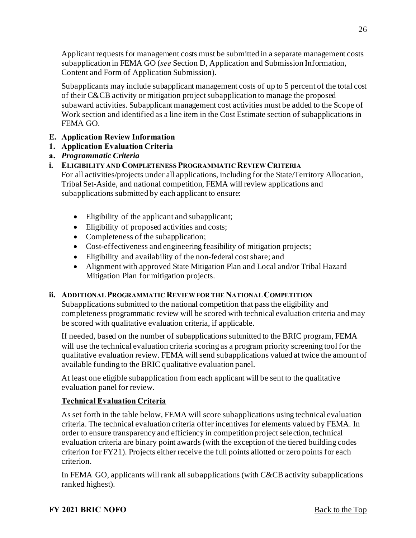Applicant requests for management costs must be submitted in a separate management costs subapplication in FEMA GO (*see* Section D, Application and Submission Information, Content and Form of Application Submission).

Subapplicants may include subapplicant management costs of up to 5 percent of the total cost of their C&CB activity or mitigation project subapplication to manage the proposed subaward activities. Subapplicant management cost activities must be added to the Scope of Work section and identified as a line item in the Cost Estimate section of subapplications in FEMA GO.

# <span id="page-25-0"></span>**E. Application Review Information**

# <span id="page-25-1"></span>**1. Application Evaluation Criteria**

## **a.** *Programmatic Criteria*

# **i. ELIGIBILITY AND COMPLETENESS PROGRAMMATIC REVIEW CRITERIA**

For all activities/projects under all applications, including for the State/Territory Allocation, Tribal Set-Aside, and national competition, FEMA will review applications and subapplications submitted by each applicant to ensure:

- Eligibility of the applicant and subapplicant;
- Eligibility of proposed activities and costs;
- Completeness of the subapplication;
- Cost-effectiveness and engineering feasibility of mitigation projects;
- Eligibility and availability of the non-federal cost share; and
- Alignment with approved State Mitigation Plan and Local and/or Tribal Hazard Mitigation Plan for mitigation projects.

## **ii. ADDITIONAL PROGRAMMATIC REVIEW FOR THE NATIONAL COMPETITION**

Subapplications submitted to the national competition that pass the eligibility and completeness programmatic review will be scored with technical evaluation criteria and may be scored with qualitative evaluation criteria, if applicable.

If needed, based on the number of subapplications submitted to the BRIC program, FEMA will use the technical evaluation criteria scoring as a program priority screening tool for the qualitative evaluation review. FEMA will send subapplications valued at twice the amount of available funding to the BRIC qualitative evaluation panel.

At least one eligible subapplication from each applicant will be sent to the qualitative evaluation panel for review.

## **Technical Evaluation Criteria**

As set forth in the table below, FEMA will score subapplications using technical evaluation criteria. The technical evaluation criteria offer incentives for elements valued by FEMA. In order to ensure transparency and efficiency in competition project selection, technical evaluation criteria are binary point awards (with the exception of the tiered building codes criterion for FY21). Projects either receive the full points allotted or zero points for each criterion.

In FEMA GO, applicants will rank all subapplications (with C&CB activity subapplications ranked highest).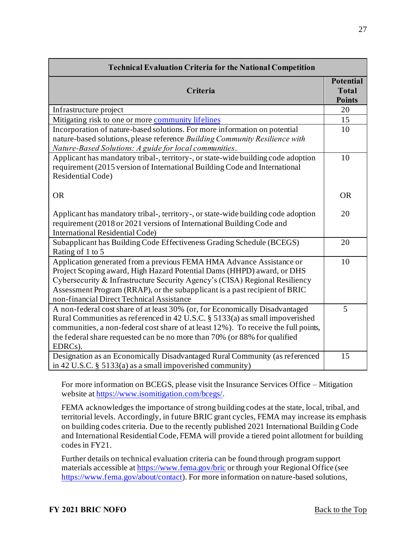| <b>Technical Evaluation Criteria for the National Competition</b>                                                                                                                                                                                                                                                                                        |                                                   |
|----------------------------------------------------------------------------------------------------------------------------------------------------------------------------------------------------------------------------------------------------------------------------------------------------------------------------------------------------------|---------------------------------------------------|
| Criteria                                                                                                                                                                                                                                                                                                                                                 | <b>Potential</b><br><b>Total</b><br><b>Points</b> |
| Infrastructure project                                                                                                                                                                                                                                                                                                                                   | 20                                                |
| Mitigating risk to one or more community lifelines                                                                                                                                                                                                                                                                                                       | 15                                                |
| Incorporation of nature-based solutions. For more information on potential<br>nature-based solutions, please reference Building Community Resilience with<br>Nature-Based Solutions: A guide for local communities.                                                                                                                                      | 10                                                |
| Applicant has mandatory tribal-, territory-, or state-wide building code adoption<br>requirement (2015 version of International Building Code and International<br>Residential Code)                                                                                                                                                                     | 10                                                |
| <b>OR</b>                                                                                                                                                                                                                                                                                                                                                | <b>OR</b>                                         |
| Applicant has mandatory tribal-, territory-, or state-wide building code adoption<br>requirement (2018 or 2021 versions of International Building Code and<br><b>International Residential Code)</b>                                                                                                                                                     | 20                                                |
| Subapplicant has Building Code Effectiveness Grading Schedule (BCEGS)<br>Rating of 1 to 5                                                                                                                                                                                                                                                                | 20                                                |
| Application generated from a previous FEMA HMA Advance Assistance or<br>Project Scoping award, High Hazard Potential Dams (HHPD) award, or DHS<br>Cybersecurity & Infrastructure Security Agency's (CISA) Regional Resiliency<br>Assessment Program (RRAP), or the subapplicant is a past recipient of BRIC<br>non-financial Direct Technical Assistance | 10                                                |
| A non-federal cost share of at least 30% (or, for Economically Disadvantaged<br>Rural Communities as referenced in 42 U.S.C. § 5133(a) as small impoverished<br>communities, a non-federal cost share of at least 12%). To receive the full points,<br>the federal share requested can be no more than 70% (or 88% for qualified<br>EDRCs).              | 5                                                 |
| Designation as an Economically Disadvantaged Rural Community (as referenced<br>in 42 U.S.C. $\S$ 5133(a) as a small impoverished community)                                                                                                                                                                                                              | 15                                                |

For more information on BCEGS, please visit the Insurance Services Office – Mitigation website a[t https://www.isomitigation.com/bcegs/](https://www.isomitigation.com/bcegs/).

FEMA acknowledges the importance of strong building codes at the state, local, tribal, and territorial levels. Accordingly, in future BRIC grant cycles, FEMA may increase its emphasis on building codes criteria. Due to the recently published 2021 International Building Code and International Residential Code, FEMA will provide a tiered point allotment for building codes in FY21.

Further details on technical evaluation criteria can be found through program support materials accessible a[t https://www.fema.gov/bric](https://www.fema.gov/bric) or through your Regional Office (see <https://www.fema.gov/about/contact>). For more information on nature-based solutions,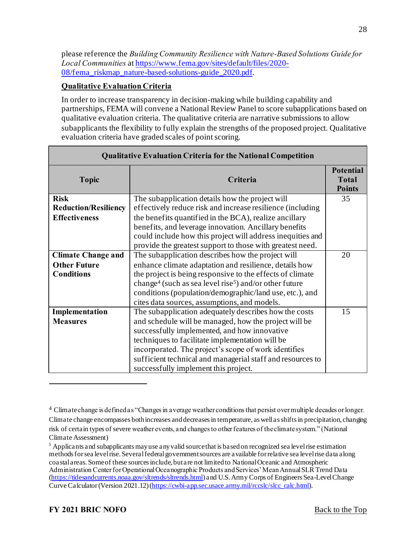please reference the *Building Community Resilience with Nature-Based Solutions Guide for Local Communities* at https://www.fema.gov/sites/default/files/2020- [08/fema\\_riskmap\\_nature-based-solutions-guide\\_2020.pdf.](https://www.fema.gov/sites/default/files/2020-08/fema_riskmap_nature-based-solutions-guide_2020.pdf) 

## **Qualitative Evaluation Criteria**

In order to increase transparency in decision-making while building capability and partnerships, FEMA will convene a National Review Panel to score subapplications based on qualitative evaluation criteria. The qualitative criteria are narrative submissions to allow subapplicants the flexibility to fully explain the strengths of the proposed project. Qualitative evaluation criteria have graded scales of point scoring.

| <b>Qualitative Evaluation Criteria for the National Competition</b>   |                                                                                                                                                                                                                                                                                                                                                                                 |                                                   |  |
|-----------------------------------------------------------------------|---------------------------------------------------------------------------------------------------------------------------------------------------------------------------------------------------------------------------------------------------------------------------------------------------------------------------------------------------------------------------------|---------------------------------------------------|--|
| <b>Topic</b>                                                          | Criteria                                                                                                                                                                                                                                                                                                                                                                        | <b>Potential</b><br><b>Total</b><br><b>Points</b> |  |
| <b>Risk</b><br><b>Reduction/Resiliency</b><br><b>Effectiveness</b>    | The subapplication details how the project will<br>effectively reduce risk and increase resilience (including<br>the benefits quantified in the BCA), realize ancillary<br>benefits, and leverage innovation. Ancillary benefits<br>could include how this project will address inequities and<br>provide the greatest support to those with greatest need.                     | 35                                                |  |
| <b>Climate Change and</b><br><b>Other Future</b><br><b>Conditions</b> | The subapplication describes how the project will<br>enhance climate adaptation and resilience, details how<br>the project is being responsive to the effects of climate<br>change <sup>4</sup> (such as sea level rise <sup>5</sup> ) and/or other future<br>conditions (population/demographic/land use, etc.), and<br>cites data sources, assumptions, and models.           | 20                                                |  |
| Implementation<br><b>Measures</b>                                     | The subapplication adequately describes how the costs<br>and schedule will be managed, how the project will be<br>successfully implemented, and how innovative<br>techniques to facilitate implementation will be<br>incorporated. The project's scope of work identifies<br>sufficient technical and managerial staff and resources to<br>successfully implement this project. | 15                                                |  |

<sup>4</sup> Climate change is defined as "Changes in average weather conditions that persist over multiple decades or longer. Climate change encompasses both increases and decreases in temperature, as well as shifts in precipitation, changing risk of certain types of severe weather events, and changes to other features of the climate system." (National Climate Assessment)

<sup>&</sup>lt;sup>5</sup> Applicants and subapplicants may use any valid source that is based on recognized sea level rise estimation methods for sea level rise. Several federal government sources are available for relative sea level rise data along coastal areas. Some of these sources include, but are not limited to National Oceanic and Atmospheric Administration Center for Operational Oceanographic Products and Services' Mean Annual SLR Trend Data [\(https://tidesandcurrents.noaa.gov/sltrends/sltrends.html](https://tidesandcurrents.noaa.gov/sltrends/sltrends.html)) and U.S. Army Corps of Engineers Sea-Level Change Curve Calculator (Version 2021.12) [\(https://cwbi-app.sec.usace.army.mil/rccslc/slcc\\_calc.html](https://cwbi-app.sec.usace.army.mil/rccslc/slcc_calc.html)).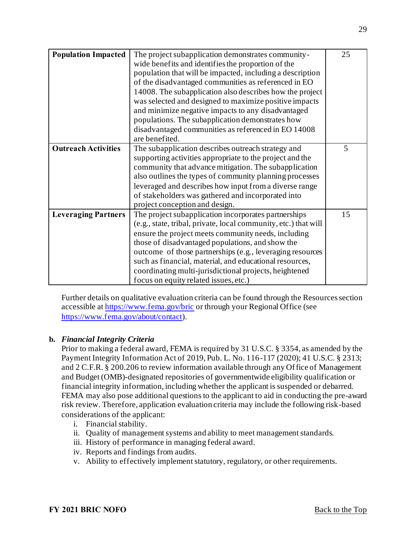| <b>Population Impacted</b> | The project subapplication demonstrates community-              | 25 |
|----------------------------|-----------------------------------------------------------------|----|
|                            | wide benefits and identifies the proportion of the              |    |
|                            | population that will be impacted, including a description       |    |
|                            | of the disadvantaged communities as referenced in EO            |    |
|                            | 14008. The subapplication also describes how the project        |    |
|                            | was selected and designed to maximize positive impacts          |    |
|                            | and minimize negative impacts to any disadvantaged              |    |
|                            | populations. The subapplication demonstrates how                |    |
|                            | disadvantaged communities as referenced in EO 14008             |    |
|                            | are benefited.                                                  |    |
| <b>Outreach Activities</b> | The subapplication describes outreach strategy and              | 5  |
|                            | supporting activities appropriate to the project and the        |    |
|                            | community that advance mitigation. The subapplication           |    |
|                            | also outlines the types of community planning processes         |    |
|                            | leveraged and describes how input from a diverse range          |    |
|                            | of stakeholders was gathered and incorporated into              |    |
|                            | project conception and design.                                  |    |
| <b>Leveraging Partners</b> | The project subapplication incorporates partnerships            | 15 |
|                            | (e.g., state, tribal, private, local community, etc.) that will |    |
|                            | ensure the project meets community needs, including             |    |
|                            | those of disadvantaged populations, and show the                |    |
|                            | outcome of those partnerships (e.g., leveraging resources       |    |
|                            | such as financial, material, and educational resources,         |    |
|                            | coordinating multi-jurisdictional projects, heightened          |    |
|                            | focus on equity related issues, etc.)                           |    |

Further details on qualitative evaluation criteria can be found through the Resources section accessible a[t https://www.fema.gov/bric](https://www.fema.gov/bric) or through your Regional Office (see <https://www.fema.gov/about/contact>).

## **b.** *Financial Integrity Criteria*

Prior to making a federal award, FEMA is required by 31 U.S.C. § 3354, as amended by the Payment Integrity Information Act of 2019, Pub. L. No. 116-117 (2020); 41 U.S.C. § 2313; and 2 C.F.R. § 200.206 to review information available through any Of fice of Management and Budget (OMB)-designated repositories of governmentwide eligibility qualification or financial integrity information, including whether the applicant is suspended or debarred. FEMA may also pose additional questions to the applicant to aid in conducting the pre-award risk review. Therefore, application evaluation criteria may include the following risk-based considerations of the applicant:

- i. Financial stability.
- ii. Quality of management systems and ability to meet management standards.
- iii. History of performance in managing federal award.
- iv. Reports and findings from audits.
- v. Ability to effectively implement statutory, regulatory, or other requirements.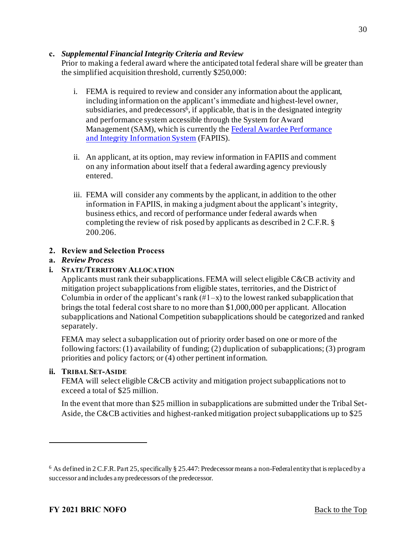#### **c.** *Supplemental Financial Integrity Criteria and Review*

Prior to making a federal award where the anticipated total federal share will be greater than the simplified acquisition threshold, currently \$250,000:

- i. FEMA is required to review and consider any information about the applicant, including information on the applicant's immediate and highest-level owner, subsidiaries, and predecessors<sup>6</sup>, if applicable, that is in the designated integrity and performance system accessible through the System for Award [Management \(SAM\), which is currently the Federal Awardee Performance](https://www.fapiis.gov/fapiis/#/home) and Integrity Information System (FAPIIS).
- ii. An applicant, at its option, may review information in FAPIIS and comment on any information about itself that a federal awarding agency previously entered.
- iii. FEMA will consider any comments by the applicant, in addition to the other information in FAPIIS, in making a judgment about the applicant's integrity, business ethics, and record of performance under federal awards when completing the review of risk posed by applicants as described in 2 C.F.R. § 200.206.

## <span id="page-29-0"></span>**2. Review and Selection Process**

#### **a.** *Review Process*

#### **i. STATE/TERRITORY ALLOCATION**

Applicants must rank their subapplications. FEMA will select eligible C&CB activity and mitigation project subapplicationsfrom eligible states, territories, and the District of Columbia in order of the applicant's rank  $(\#1-x)$  to the lowest ranked subapplication that brings the total federal cost share to no more than \$1,000,000 per applicant. Allocation subapplications and National Competition subapplications should be categorized and ranked separately.

FEMA may select a subapplication out of priority order based on one or more of the following factors: (1) availability of funding; (2) duplication of subapplications; (3) program priorities and policy factors; or (4) other pertinent information.

#### **ii. TRIBAL SET-ASIDE**

FEMA will select eligible C&CB activity and mitigation project subapplications not to exceed a total of \$25 million.

In the event that more than \$25 million in subapplications are submitted under the Tribal Set-Aside, the C&CB activities and highest-ranked mitigation project subapplications up to \$25

<sup>6</sup> As defined in 2 C.F.R. Part 25, specifically § 25.447: Predecessor means a non-Federal entity that is replaced by a successor and includes any predecessors of the predecessor.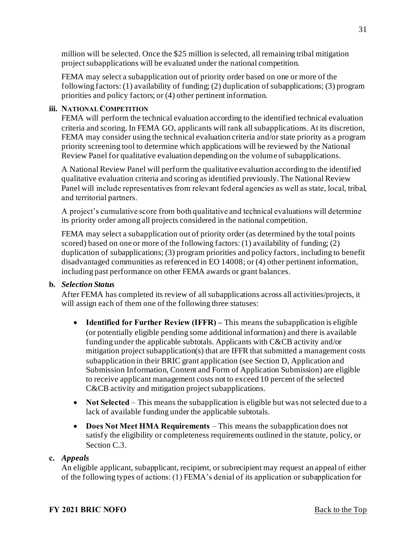million will be selected. Once the \$25 million is selected, all remaining tribal mitigation project subapplications will be evaluated under the national competition.

FEMA may select a subapplication out of priority order based on one or more of the following factors: (1) availability of funding; (2) duplication of subapplications; (3) program priorities and policy factors; or (4) other pertinent information.

#### **iii. NATIONAL COMPETITION**

FEMA will perform the technical evaluation according to the identified technical evaluation criteria and scoring. In FEMA GO, applicants will rank all subapplications. At its discretion, FEMA may consider using the technical evaluation criteria and/or state priority as a program priority screening tool to determine which applications will be reviewed by the National Review Panel for qualitative evaluation depending on the volume of subapplications.

A National Review Panel will perform the qualitative evaluation according to the identified qualitative evaluation criteria and scoring as identified previously. The National Review Panel will include representatives from relevant federal agencies as well as state, local, tribal, and territorial partners.

A project's cumulative score from both qualitative and technical evaluations will determine its priority order among all projects considered in the national competition.

FEMA may select a subapplication out of priority order (as determined by the total points scored) based on one or more of the following factors: (1) availability of funding; (2) duplication of subapplications; (3) program priorities and policy factors, including to benefit disadvantaged communities as referenced in EO 14008; or (4) other pertinent information, including past performance on other FEMA awards or grant balances.

## **b.** *Selection Status*

After FEMA has completed its review of all subapplications across all activities/projects, it will assign each of them one of the following three statuses:

- **Identified for Further Review (IFFR)** This means the subapplication is eligible (or potentially eligible pending some additional information) and there is available funding under the applicable subtotals. Applicants with C&CB activity and/or mitigation project subapplication(s) that are IFFR that submitted a management costs subapplication in their BRIC grant application (see Section D, Application and Submission Information, Content and Form of Application Submission) are eligible to receive applicant management costs not to exceed 10 percent of the selected C&CB activity and mitigation project subapplications.
- **Not Selected** This means the subapplication is eligible but was not selected due to a lack of available funding under the applicable subtotals.
- **Does Not Meet HMA Requirements** This means the subapplication does not satisfy the eligibility or completeness requirements outlined in the statute, policy, or Section C.3.

## **c.** *Appeals*

An eligible applicant, subapplicant, recipient, or subrecipient may request an appeal of either of the following types of actions: (1) FEMA's denial of its application or subapplication for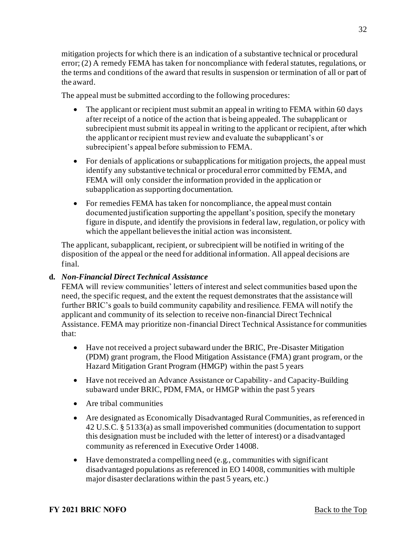mitigation projects for which there is an indication of a substantive technical or procedural error; (2) A remedy FEMA has taken for noncompliance with federal statutes, regulations, or the terms and conditions of the award that results in suspension or termination of all or part of the award.

The appeal must be submitted according to the following procedures:

- The applicant or recipient must submit an appeal in writing to FEMA within 60 days after receipt of a notice of the action that is being appealed. The subapplicant or subrecipient must submit its appeal in writing to the applicant or recipient, after which the applicant or recipient must review and evaluate the subapplicant's or subrecipient's appeal before submission to FEMA.
- For denials of applications or subapplications for mitigation projects, the appeal must identify any substantive technical or procedural error committed by FEMA, and FEMA will only consider the information provided in the application or subapplication as supporting documentation.
- For remedies FEMA has taken for noncompliance, the appeal must contain documented justification supporting the appellant's position, specify the monetary figure in dispute, and identify the provisions in federal law, regulation, or policy with which the appellant believes the initial action was inconsistent.

The applicant, subapplicant, recipient, or subrecipient will be notified in writing of the disposition of the appeal or the need for additional information. All appeal decisions are final.

# **d.** *Non-Financial Direct Technical Assistance*

FEMA will review communities' letters of interest and select communities based upon the need, the specific request, and the extent the request demonstrates that the assistance will further BRIC's goals to build community capability and resilience. FEMA will notify the applicant and community of its selection to receive non-financial Direct Technical Assistance. FEMA may prioritize non-financial Direct Technical Assistance for communities that:

- Have not received a project subaward under the BRIC, Pre-Disaster Mitigation (PDM) grant program, the Flood Mitigation Assistance (FMA) grant program, or the Hazard Mitigation Grant Program (HMGP) within the past 5 years
- Have not received an Advance Assistance or Capability and Capacity-Building subaward under BRIC, PDM, FMA, or HMGP within the past 5 years
- Are tribal communities
- Are designated as Economically Disadvantaged Rural Communities, as referenced in 42 U.S.C. § 5133(a) as small impoverished communities (documentation to support this designation must be included with the letter of interest) or a disadvantaged community as referenced in Executive Order 14008.
- $\bullet$  Have demonstrated a compelling need (e.g., communities with significant disadvantaged populations as referenced in EO 14008, communities with multiple major disaster declarations within the past 5 years, etc.)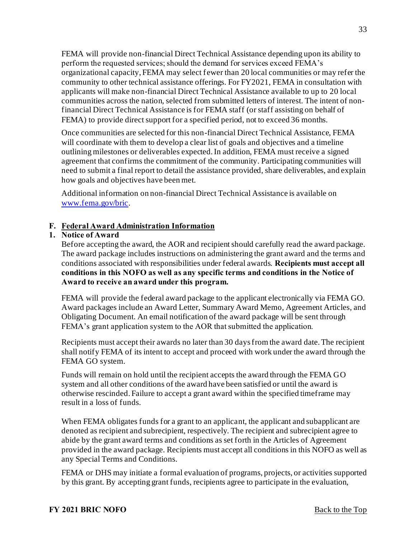FEMA will provide non-financial Direct Technical Assistance depending upon its ability to perform the requested services; should the demand for services exceed FEMA's organizational capacity, FEMA may select fewer than 20 local communities or may refer the community to other technical assistance offerings. For FY2021, FEMA in consultation with applicants will make non-financial Direct Technical Assistance available to up to 20 local communities across the nation, selected from submitted letters of interest. The intent of nonfinancial Direct Technical Assistance is for FEMA staff (or staff assisting on behalf of FEMA) to provide direct support for a specified period, not to exceed 36 months.

Once communities are selected for this non-financial Direct Technical Assistance, FEMA will coordinate with them to develop a clear list of goals and objectives and a timeline outlining milestones or deliverables expected. In addition, FEMA must receive a signed agreement that confirms the commitment of the community. Participating communities will need to submit a final report to detail the assistance provided, share deliverables, and explain how goals and objectives have been met.

Additional information on non-financial Direct Technical Assistance is available on [www.fema.gov/bric](http://www.fema.gov/bric).

## <span id="page-32-0"></span>**F. Federal Award Administration Information**

# <span id="page-32-1"></span>**1. Notice of Award**

Before accepting the award, the AOR and recipient should carefully read the award package. The award package includes instructions on administering the grant award and the terms and conditions associated with responsibilities under federal awards. **Recipients must accept all conditions in this NOFO as well as any specific terms and conditions in the Notice of Award to receive an award under this program.** 

FEMA will provide the federal award package to the applicant electronically via FEMA GO. Award packages include an Award Letter, Summary Award Memo, Agreement Articles, and Obligating Document. An email notification of the award package will be sent through FEMA's grant application system to the AOR that submitted the application.

Recipients must accept their awards no later than 30 days from the award date. The recipient shall notify FEMA of its intent to accept and proceed with work under the award through the FEMA GO system.

Funds will remain on hold until the recipient accepts the award through the FEMA GO system and all other conditions of the award have been satisfied or until the award is otherwise rescinded. Failure to accept a grant award within the specified timeframe may result in a loss of funds.

When FEMA obligates funds for a grant to an applicant, the applicant and subapplicant are denoted as recipient and subrecipient, respectively. The recipient and subrecipient agree to abide by the grant award terms and conditions as set forth in the Articles of Agreement provided in the award package. Recipients must accept all conditions in this NOFO as well as any Special Terms and Conditions.

FEMA or DHS may initiate a formal evaluation of programs, projects, or activities supported by this grant. By accepting grant funds, recipients agree to participate in the evaluation,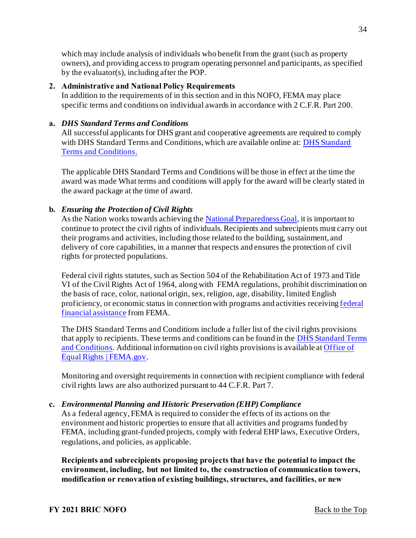which may include analysis of individuals who benefit from the grant (such as property owners), and providing access to program operating personnel and participants, as specified by the evaluator(s), including after the POP.

#### <span id="page-33-0"></span>**2. Administrative and National Policy Requirements**

In addition to the requirements of in this section and in this NOFO, FEMA may place specific terms and conditions on individual awards in accordance with 2 C.F.R. Part 200.

#### **a.** *DHS Standard Terms and Conditions*

All successful applicants for DHS grant and cooperative agreements are required to comply with DHS Standard Terms and Conditions, which are available online at: DHS Standard Terms and Conditions.

The applicable DHS Standard Terms and Conditions will be those in effect at the time the award was made What terms and conditions will apply for the award will be clearly stated in the award package at the time of award.

## **b.** *Ensuring the Protection of Civil Rights*

As the Nation works towards achieving th[e National Preparedness Goal](https://www.fema.gov/national-preparedness-goal), it is important to continue to protect the civil rights of individuals. Recipients and subrecipients must carry out their programs and activities, including those related to the building, sustainment, and delivery of core capabilities, in a manner that respects and ensures the protection of civil rights for protected populations.

Federal civil rights statutes, such as Section 504 of the Rehabilitation Act of 1973 and Title VI of the Civil Rights Act of 1964, along with FEMA regulations, prohibit discrimination on the basis of race, color, national origin, sex, religion, age, disability, limited English [proficiency, or economic status in connection with programs and activities receiving federal](https://www.ecfr.gov/cgi-bin/text-idx?SID=5e41f4d1a74f253d602c5a7fdc4fc2d8&mc=true&node=se44.1.7_1913&rgn=div8)  financial assistance from FEMA.

The DHS Standard Terms and Conditions include a fuller list of the civil rights provisions that apply to recipients. These terms and conditions can be found in th[e DHS Standard Terms](https://www.dhs.gov/publication/fy15-dhs-standard-terms-and-conditions)  and Conditions. Additional information on civil rights provisions is available a[t Office of](https://www.fema.gov/about/offices/equal-rights)  Equal Rights | FEMA.gov.

Monitoring and oversight requirements in connection with recipient compliance with federal civil rights laws are also authorized pursuant to 44 C.F.R. Part 7.

#### **c.** *Environmental Planning and Historic Preservation (EHP) Compliance*

As a federal agency, FEMA is required to consider the effects of its actions on the environment and historic properties to ensure that all activities and programs funded by FEMA, including grant-funded projects, comply with federal EHP laws, Executive Orders, regulations, and policies, as applicable.

**Recipients and subrecipients proposing projects that have the potential to impact the environment, including, but not limited to, the construction of communication towers, modification or renovation of existing buildings, structures, and facilities, or new**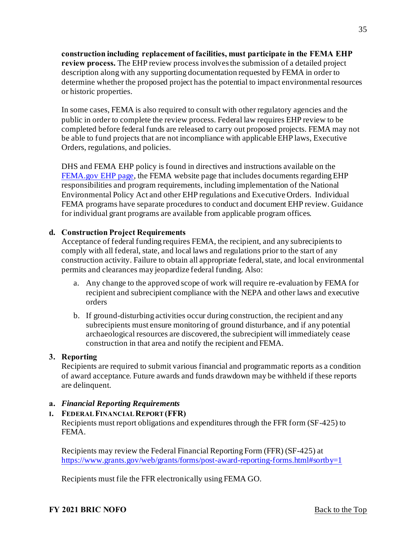**construction including replacement of facilities, must participate in the FEMA EHP review process.** The EHP review process involves the submission of a detailed project description along with any supporting documentation requested by FEMA in order to determine whether the proposed project has the potential to impact environmental resources or historic properties.

In some cases, FEMA is also required to consult with other regulatory agencies and the public in order to complete the review process. Federal law requires EHP review to be completed before federal funds are released to carry out proposed projects. FEMA may not be able to fund projects that are not incompliance with applicable EHP laws, Executive Orders, regulations, and policies.

DHS and FEMA EHP policy is found in directives and instructions available on the [FEMA.gov EHP page,](https://www.fema.gov/emergency-managers/practitioners/environmental-historic/laws) the FEMA website page that includes documents regarding EHP responsibilities and program requirements, including implementation of the National Environmental Policy Act and other EHP regulations and Executive Orders. Individual FEMA programs have separate procedures to conduct and document EHP review. Guidance for individual grant programs are available from applicable program offices.

#### **d. Construction Project Requirements**

Acceptance of federal funding requires FEMA, the recipient, and any subrecipients to comply with all federal, state, and local laws and regulations prior to the start of any construction activity. Failure to obtain all appropriate federal, state, and local environmental permits and clearances may jeopardize federal funding. Also:

- a. Any change to the approved scope of work will require re-evaluation by FEMA for recipient and subrecipient compliance with the NEPA and other laws and executive orders
- b. If ground-disturbing activities occur during construction, the recipient and any subrecipients must ensure monitoring of ground disturbance, and if any potential archaeological resources are discovered, the subrecipient will immediately cease construction in that area and notify the recipient and FEMA.

#### <span id="page-34-0"></span>**3. Reporting**

Recipients are required to submit various financial and programmatic reports as a condition of award acceptance. Future awards and funds drawdown may be withheld if these reports are delinquent.

#### **a.** *Financial Reporting Requirements*

#### **I. FEDERAL FINANCIAL REPORT (FFR)**

Recipients must report obligations and expenditures through the FFR form (SF-425) to FEMA.

Recipients may review the Federal Financial Reporting Form (FFR) (SF-425) at <https://www.grants.gov/web/grants/forms/post-award-reporting-forms.html#sortby=1>

Recipients must file the FFR electronically using FEMA GO.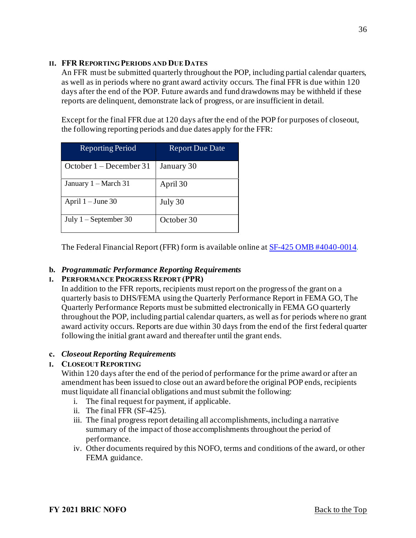#### **II. FFR REPORTING PERIODS AND DUE DATES**

An FFR must be submitted quarterly throughout the POP, including partial calendar quarters, as well as in periods where no grant award activity occurs. The final FFR is due within 120 days after the end of the POP. Future awards and fund drawdowns may be withheld if these reports are delinquent, demonstrate lack of progress, or are insufficient in detail.

Except for the final FFR due at 120 days after the end of the POP for purposes of closeout, the following reporting periods and due dates apply for the FFR:

| <b>Reporting Period</b> | <b>Report Due Date</b> |
|-------------------------|------------------------|
| October 1 – December 31 | January 30             |
| January 1 – March 31    | April 30               |
| April $1 -$ June 30     | July 30                |
| July $1 -$ September 30 | October 30             |

The Federal Financial Report (FFR) form is available online a[t SF-425 OMB #4040-0014](https://www.grants.gov/web/grants/forms/post-award-reporting-forms.html#sortby=1).

## **b.** *Programmatic Performance Reporting Requirements*

## **I. PERFORMANCE PROGRESS REPORT (PPR)**

In addition to the FFR reports, recipients must report on the progress of the grant on a quarterly basis to DHS/FEMA using the Quarterly Performance Report in FEMA GO, The Quarterly Performance Reports must be submitted electronically in FEMA GO quarterly throughout the POP, including partial calendar quarters, as well as for periods where no grant award activity occurs. Reports are due within 30 days from the end of the first federal quarter following the initial grant award and thereafter until the grant ends.

## **c.** *Closeout Reporting Requirements*

## **I. CLOSEOUT REPORTING**

Within 120 days after the end of the period of performance for the prime award or after an amendment has been issued to close out an award before the original POP ends, recipients must liquidate all financial obligations and must submit the following:

- i. The final request for payment, if applicable.
- ii. The final FFR (SF-425).
- iii. The final progress report detailing all accomplishments, including a narrative summary of the impact of those accomplishments throughout the period of performance.
- iv. Other documents required by this NOFO, terms and conditions of the award, or other FEMA guidance.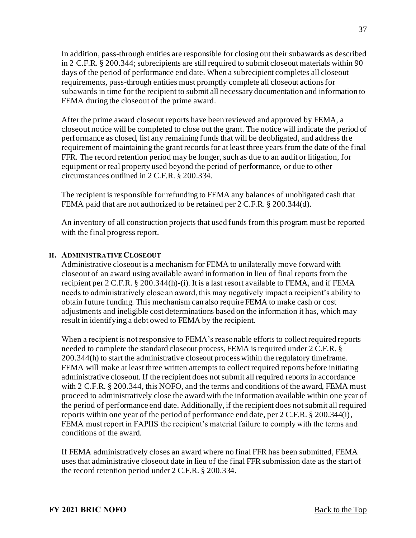In addition, pass-through entities are responsible for closing out their subawards as described in 2 C.F.R. § 200.344; subrecipients are still required to submit closeout materials within 90 days of the period of performance end date. When a subrecipient completes all closeout requirements, pass-through entities must promptly complete all closeout actions for subawards in time for the recipient to submit all necessary documentation and information to FEMA during the closeout of the prime award.

After the prime award closeout reports have been reviewed and approved by FEMA, a closeout notice will be completed to close out the grant. The notice will indicate the period of performance as closed, list any remaining funds that will be deobligated, and address the requirement of maintaining the grant records for at least three years from the date of the final FFR. The record retention period may be longer, such as due to an audit or litigation, for equipment or real property used beyond the period of performance, or due to other circumstances outlined in 2 C.F.R. § 200.334.

The recipient is responsible for refunding to FEMA any balances of unobligated cash that FEMA paid that are not authorized to be retained per 2 C.F.R. § 200.344(d).

An inventory of all construction projects that used funds from this program must be reported with the final progress report.

#### **II. ADMINISTRATIVE CLOSEOUT**

Administrative closeout is a mechanism for FEMA to unilaterally move forward with closeout of an award using available award information in lieu of final reports from the recipient per 2 C.F.R. § 200.344(h)-(i). It is a last resort available to FEMA, and if FEMA needs to administratively close an award, this may negatively impact a recipient's ability to obtain future funding. This mechanism can also require FEMA to make cash or cost adjustments and ineligible cost determinations based on the information it has, which may result in identifying a debt owed to FEMA by the recipient.

When a recipient is not responsive to FEMA's reasonable efforts to collect required reports needed to complete the standard closeout process, FEMA is required under 2 C.F.R. § 200.344(h) to start the administrative closeout process within the regulatory timeframe. FEMA will make at least three written attempts to collect required reports before initiating administrative closeout. If the recipient does not submit all required reports in accordance with 2 C.F.R. § 200.344, this NOFO, and the terms and conditions of the award, FEMA must proceed to administratively close the award with the information available within one year of the period of performance end date. Additionally, if the recipient does not submit all required reports within one year of the period of performance end date, per 2 C.F.R. § 200.344(i), FEMA must report in FAPIIS the recipient's material failure to comply with the terms and conditions of the award.

If FEMA administratively closes an award where no final FFR has been submitted, FEMA uses that administrative closeout date in lieu of the final FFR submission date as the start of the record retention period under 2 C.F.R. § 200.334.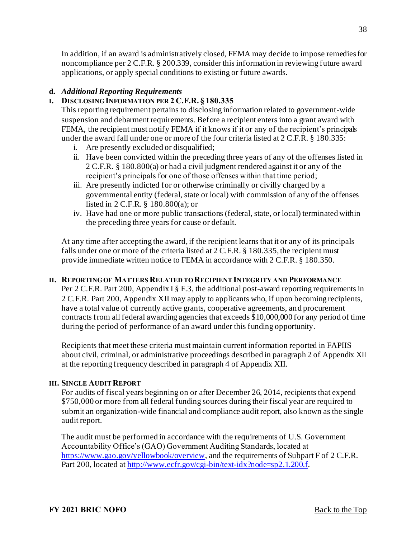In addition, if an award is administratively closed, FEMA may decide to impose remedies for noncompliance per 2 C.F.R. § 200.339, consider this information in reviewing future award applications, or apply special conditions to existing or future awards.

# **d.** *Additional Reporting Requirements*

# **I. DISCLOSING INFORMATION PER 2 C.F.R. § 180.335**

This reporting requirement pertains to disclosing information related to government-wide suspension and debarment requirements. Before a recipient enters into a grant award with FEMA, the recipient must notify FEMA if it knows if it or any of the recipient's principals under the award fall under one or more of the four criteria listed at 2 C.F.R. § 180.335:

- i. Are presently excluded or disqualified;
- ii. Have been convicted within the preceding three years of any of the offenses listed in 2 C.F.R. § 180.800(a) or had a civil judgment rendered against it or any of the recipient's principals for one of those offenses within that time period;
- iii. Are presently indicted for or otherwise criminally or civilly charged by a governmental entity (federal, state or local) with commission of any of the offenses listed in 2 C.F.R. § 180.800(a); or
- iv. Have had one or more public transactions (federal, state, or local) terminated within the preceding three years for cause or default.

At any time after accepting the award, if the recipient learns that it or any of its principals falls under one or more of the criteria listed at 2 C.F.R. § 180.335, the recipient must provide immediate written notice to FEMA in accordance with 2 C.F.R. § 180.350.

## **II. REPORTING OF MATTERS RELATED TO RECIPIENT INTEGRITY AND PERFORMANCE**

Per 2 C.F.R. Part 200, Appendix I § F.3, the additional post-award reporting requirements in 2 C.F.R. Part 200, Appendix XII may apply to applicants who, if upon becoming recipients, have a total value of currently active grants, cooperative agreements, and procurement contracts from all federal awarding agencies that exceeds \$10,000,000 for any period of time during the period of performance of an award under this funding opportunity.

Recipients that meet these criteria must maintain current information reported in FAPIIS about civil, criminal, or administrative proceedings described in paragraph 2 of Appendix XII at the reporting frequency described in paragraph 4 of Appendix XII.

## **III. SINGLE AUDIT REPORT**

For audits of fiscal years beginning on or after December 26, 2014, recipients that expend \$750,000 or more from all federal funding sources during their fiscal year are required to submit an organization-wide financial and compliance audit report, also known as the single audit report.

The audit must be performed in accordance with the requirements of U.S. Government Accountability Office's (GAO) Government Auditing Standards, located at <https://www.gao.gov/yellowbook/overview>, and the requirements of Subpart F of 2 C.F.R. Part 200, located a[t http://www.ecfr.gov/cgi-bin/text-idx?node=sp2.1.200.f](http://www.ecfr.gov/cgi-bin/text-idx?node=sp2.1.200.f).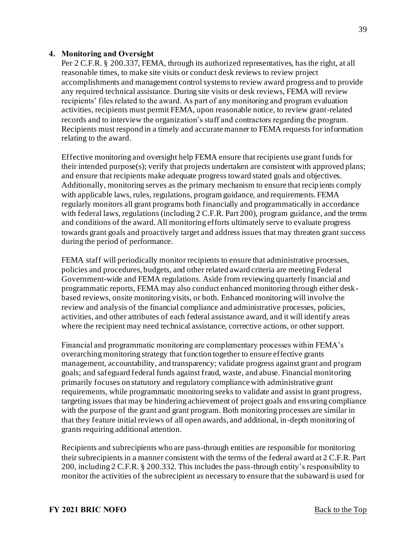#### <span id="page-38-0"></span>**4. Monitoring and Oversight**

Per 2 C.F.R. § 200.337, FEMA, through its authorized representatives, has the right, at all reasonable times, to make site visits or conduct desk reviews to review project accomplishments and management control systems to review award progress and to provide any required technical assistance. During site visits or desk reviews, FEMA will review recipients' files related to the award. As part of any monitoring and program evaluation activities, recipients must permit FEMA, upon reasonable notice, to review grant-related records and to interview the organization's staff and contractors regarding the program. Recipients must respond in a timely and accurate manner to FEMA requests for information relating to the award.

Effective monitoring and oversight help FEMA ensure that recipients use grant funds for their intended purpose(s); verify that projects undertaken are consistent with approved plans; and ensure that recipients make adequate progress toward stated goals and objectives. Additionally, monitoring serves as the primary mechanism to ensure that recipients comply with applicable laws, rules, regulations, program guidance, and requirements. FEMA regularly monitors all grant programs both financially and programmatically in accordance with federal laws, regulations (including 2 C.F.R. Part 200), program guidance, and the terms and conditions of the award. All monitoring efforts ultimately serve to evaluate progress towards grant goals and proactively target and address issues that may threaten grant success during the period of performance.

FEMA staff will periodically monitor recipients to ensure that administrative processes, policies and procedures, budgets, and other related award criteria are meeting Federal Government-wide and FEMA regulations. Aside from reviewing quarterly financial and programmatic reports, FEMA may also conduct enhanced monitoring through either deskbased reviews, onsite monitoring visits, or both. Enhanced monitoring will involve the review and analysis of the financial compliance and administrative processes, policies, activities, and other attributes of each federal assistance award, and it will identify areas where the recipient may need technical assistance, corrective actions, or other support.

Financial and programmatic monitoring are complementary processes within FEMA's overarching monitoring strategy that function together to ensure effective grants management, accountability, and transparency; validate progress against grant and program goals; and safeguard federal funds against fraud, waste, and abuse. Financial monitoring primarily focuses on statutory and regulatory compliance with administrative grant requirements, while programmatic monitoring seeks to validate and assist in grant progress, targeting issues that may be hindering achievement of project goals and ensuring compliance with the purpose of the grant and grant program. Both monitoring processes are similar in that they feature initial reviews of all open awards, and additional, in-depth monitoring of grants requiring additional attention.

Recipients and subrecipients who are pass-through entities are responsible for monitoring their subrecipients in a manner consistent with the terms of the federal award at 2 C.F.R. Part 200, including 2 C.F.R. § 200.332. This includes the pass-through entity's responsibility to monitor the activities of the subrecipient as necessary to ensure that the subaward is used for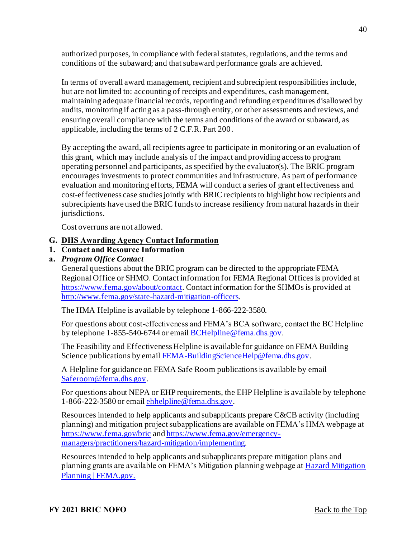authorized purposes, in compliance with federal statutes, regulations, and the terms and conditions of the subaward; and that subaward performance goals are achieved.

In terms of overall award management, recipient and subrecipient responsibilities include, but are not limited to: accounting of receipts and expenditures, cash management, maintaining adequate financial records, reporting and refunding expenditures disallowed by audits, monitoring if acting as a pass-through entity, or other assessments and reviews, and ensuring overall compliance with the terms and conditions of the award or subaward, as applicable, including the terms of 2 C.F.R. Part 200.

By accepting the award, all recipients agree to participate in monitoring or an evaluation of this grant, which may include analysis of the impact and providing access to program operating personnel and participants, as specified by the evaluator(s). The BRIC program encourages investments to protect communities and infrastructure. As part of performance evaluation and monitoring efforts, FEMA will conduct a series of grant effectiveness and cost-effectiveness case studies jointly with BRIC recipients to highlight how recipients and subrecipients have used the BRIC funds to increase resiliency from natural hazards in their jurisdictions.

Cost overruns are not allowed.

## <span id="page-39-0"></span>**G. DHS Awarding Agency Contact Information**

## <span id="page-39-1"></span>**1. Contact and Resource Information**

**a.** *Program Office Contact* 

General questions about the BRIC program can be directed to the appropriate FEMA Regional Office or SHMO. Contact information for FEMA Regional Offices is provided at <https://www.fema.gov/about/contact>. Contact information for the SHMOs is provided at <http://www.fema.gov/state-hazard-mitigation-officers>.

The HMA Helpline is available by telephone 1-866-222-3580.

For questions about cost-effectiveness and FEMA's BCA software, contact the BC Helpline by telephone 1-855-540-6744 or emai[l BCHelpline@fema.dhs.gov](mailto:BCHelpline@fema.dhs.gov).

The Feasibility and Effectiveness Helpline is available for guidance on FEMA Building Science publications by emai[l FEMA-BuildingScienceHelp@fema.dhs.gov](mailto:FEMA-BuildingScienceHelp@fema.dhs.gov).

A Helpline for guidance on FEMA Safe Room publications is available by email [Saferoom@fema.dhs.gov](mailto:Saferoom@fema.dhs.gov).

For questions about NEPA or EHP requirements, the EHP Helpline is available by telephone 1-866-222-3580 or emai[l ehhelpline@fema.dhs.gov](mailto:ehhelpline@fema.dhs.gov).

Resources intended to help applicants and subapplicants prepare C&CB activity (including planning) and mitigation project subapplications are available on FEMA's HMA webpage at <https://www.fema.gov/bric> an[d https://www.fema.gov/emergency](https://www.fema.gov/emergency-managers/practitioners/hazard-mitigation/implementing)managers/practitioners/hazard-mitigation/implementing.

Resources intended to help applicants and subapplicants prepare mitigation plans and [planning grants are available on FEMA's Mitigation planning webpage at Hazard Mitigation](https://www.fema.gov/emergency-managers/risk-management/hazard-mitigation-planning)  Planning | FEMA.gov.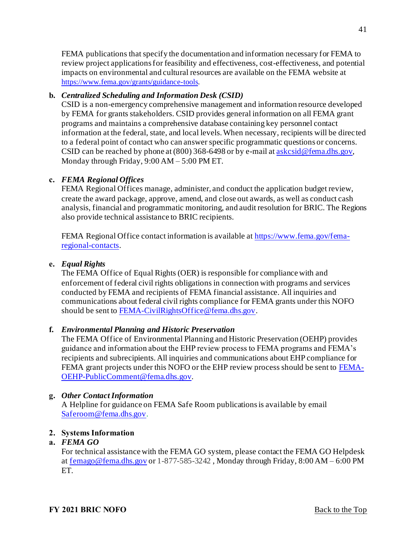FEMA publications that specify the documentation and information necessary for FEMA to review project applications for feasibility and effectiveness, cost-effectiveness, and potential impacts on environmental and cultural resources are available on the FEMA website at [https://www.fema.gov/grants/guidance-tools.](https://www.fema.gov/grants/guidance-tools)

# **b.** *Centralized Scheduling and Information Desk (CSID)*

CSID is a non-emergency comprehensive management and information resource developed by FEMA for grants stakeholders. CSID provides general information on all FEMA grant programs and maintains a comprehensive database containing key personnel contact information at the federal, state, and local levels. When necessary, recipients will be directed to a federal point of contact who can answer specific programmatic questions or concerns. CSID can be reached by phone at  $(800)$  368-6498 or by e-mail a[t askcsid@fema.dhs.gov](mailto:askcsid@fema.dhs.gov), Monday through Friday, 9:00 AM – 5:00 PM ET.

# **c.** *FEMA Regional Offices*

FEMA Regional Offices manage, administer, and conduct the application budget review, create the award package, approve, amend, and close out awards, as well as conduct cash analysis, financial and programmatic monitoring, and audit resolution for BRIC. The Regions also provide technical assistance to BRIC recipients.

[FEMA Regional Office contact information is available at https://www.fema.gov/fema](https://www.fema.gov/fema-regional-contacts)regional-contacts.

# **e.** *Equal Rights*

The FEMA Office of Equal Rights (OER) is responsible for compliance with and enforcement of federal civil rights obligations in connection with programs and services conducted by FEMA and recipients of FEMA financial assistance. All inquiries and communications about federal civil rights compliance for FEMA grants under this NOFO should be sent t[o FEMA-CivilRightsOffice@fema.dhs.gov](mailto:FEMA-CivilRightsOffice@fema.dhs.gov).

## **f.** *Environmental Planning and Historic Preservation*

The FEMA Office of Environmental Planning and Historic Preservation (OEHP) provides guidance and information about the EHP review process to FEMA programs and FEMA's recipients and subrecipients. All inquiries and communications about EHP compliance for [FEMA grant projects under this NOFO or the EHP review process should be sent to FEMA-](mailto:FEMA-OEHP-PublicComment@fema.dhs.gov)OEHP-PublicComment@fema.dhs.gov.

# **g.** *Other Contact Information*

A Helpline for guidance on FEMA Safe Room publications is available by email [Saferoom@fema.dhs.gov](mailto:Saferoom@fema.dhs.gov).

# <span id="page-40-0"></span>**2. Systems Information**

## **a.** *FEMA GO*

For technical assistance with the FEMA GO system, please contact the FEMA GO Helpdesk a[t femago@fema.dhs.gov](mailto:femago@fema.dhs.gov) or 1-877-585-3242 , Monday through Friday, 8:00 AM – 6:00 PM ET.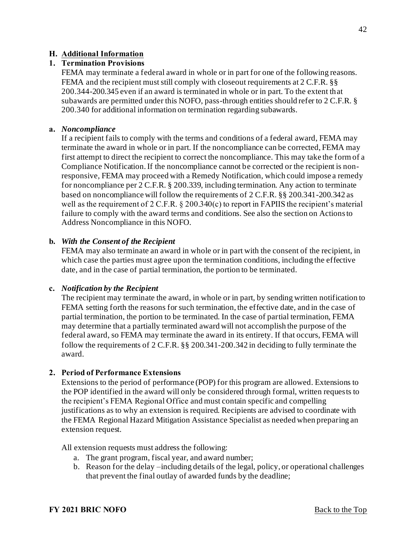#### <span id="page-41-0"></span>**H. Additional Information**

#### <span id="page-41-1"></span>**1. Termination Provisions**

FEMA may terminate a federal award in whole or in part for one of the following reasons. FEMA and the recipient must still comply with closeout requirements at 2 C.F.R. §§ 200.344-200.345 even if an award is terminated in whole or in part. To the extent that subawards are permitted under this NOFO, pass-through entities should refer to 2 C.F.R. § 200.340 for additional information on termination regarding subawards.

#### **a.** *Noncompliance*

If a recipient fails to comply with the terms and conditions of a federal award, FEMA may terminate the award in whole or in part. If the noncompliance can be corrected, FEMA may first attempt to direct the recipient to correct the noncompliance. This may take the form of a Compliance Notification. If the noncompliance cannot be corrected or the recipient is nonresponsive, FEMA may proceed with a Remedy Notification, which could impose a remedy for noncompliance per 2 C.F.R. § 200.339, including termination. Any action to terminate based on noncompliance will follow the requirements of 2 C.F.R. §§ 200.341-200.342 as well as the requirement of 2 C.F.R. § 200.340(c) to report in FAPIIS the recipient's material failure to comply with the award terms and conditions. See also the section on Actions to Address Noncompliance in this NOFO.

#### **b.** *With the Consent of the Recipient*

FEMA may also terminate an award in whole or in part with the consent of the recipient, in which case the parties must agree upon the termination conditions, including the effective date, and in the case of partial termination, the portion to be terminated.

#### **c.** *Notification by the Recipient*

The recipient may terminate the award, in whole or in part, by sending written notification to FEMA setting forth the reasons for such termination, the effective date, and in the case of partial termination, the portion to be terminated. In the case of partial termination, FEMA may determine that a partially terminated award will not accomplish the purpose of the federal award, so FEMA may terminate the award in its entirety. If that occurs, FEMA will follow the requirements of 2 C.F.R. §§ 200.341-200.342 in deciding to fully terminate the award.

#### <span id="page-41-2"></span>**2. Period of Performance Extensions**

Extensions to the period of performance (POP) for this program are allowed. Extensions to the POP identified in the award will only be considered through formal, written requests to the recipient's FEMA Regional Office and must contain specific and compelling justifications as to why an extension is required. Recipients are advised to coordinate with the FEMA Regional Hazard Mitigation Assistance Specialist as needed when preparing an extension request.

All extension requests must address the following:

- a. The grant program, fiscal year, and award number;
- b. Reason for the delay –including details of the legal, policy, or operational challenges that prevent the final outlay of awarded funds by the deadline;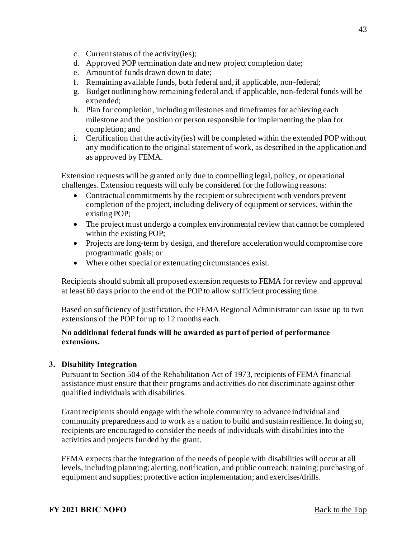- c. Current status of the activity(ies);
- d. Approved POP termination date and new project completion date;
- e. Amount of funds drawn down to date;
- f. Remaining available funds, both federal and, if applicable, non-federal;
- g. Budget outlining how remaining federal and, if applicable, non-federal funds will be expended;
- h. Plan for completion, including milestones and timeframes for achieving each milestone and the position or person responsible for implementing the plan for completion; and
- i. Certification that the activity(ies) will be completed within the extended POP without any modification to the original statement of work, as described in the application and as approved by FEMA.

Extension requests will be granted only due to compelling legal, policy, or operational challenges. Extension requests will only be considered for the following reasons:

- Contractual commitments by the recipient or subrecipient with vendors prevent completion of the project, including delivery of equipment or services, within the existing POP;
- The project must undergo a complex environmental review that cannot be completed within the existing POP;
- Projects are long-term by design, and therefore acceleration would compromise core programmatic goals; or
- Where other special or extenuating circumstances exist.

Recipients should submit all proposed extension requests to FEMA for review and approval at least 60 days prior to the end of the POP to allow sufficient processing time.

Based on sufficiency of justification, the FEMA Regional Administrator can issue up to two extensions of the POP for up to 12 months each.

#### **No additional federal funds will be awarded as part of period of performance extensions.**

#### <span id="page-42-0"></span>**3. Disability Integration**

Pursuant to Section 504 of the Rehabilitation Act of 1973, recipients of FEMA financial assistance must ensure that their programs and activities do not discriminate against other qualified individuals with disabilities.

Grant recipients should engage with the whole community to advance individual and community preparedness and to work as a nation to build and sustain resilience. In doing so, recipients are encouraged to consider the needs of individuals with disabilities into the activities and projects funded by the grant.

FEMA expects that the integration of the needs of people with disabilities will occur at all levels, including planning; alerting, notification, and public outreach; training; purchasing of equipment and supplies; protective action implementation; and exercises/drills.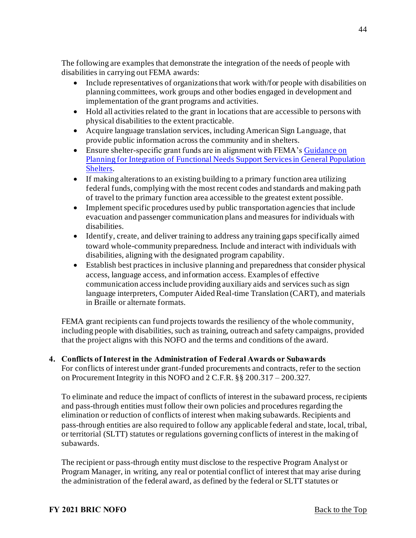The following are examples that demonstrate the integration of the needs of people with disabilities in carrying out FEMA awards:

- Include representatives of organizations that work with/for people with disabilities on planning committees, work groups and other bodies engaged in development and implementation of the grant programs and activities.
- Hold all activities related to the grant in locations that are accessible to persons with physical disabilities to the extent practicable.
- Acquire language translation services, including American Sign Language, that provide public information across the community and in shelters.
- Ensure shelter-specific grant funds are in alignment with FEMA's Guidance on [Planning for Integration of Functional Needs Support Services in General Population](https://www.fema.gov/media-library/assets/documents/26441)  Shelters.
- If making alterations to an existing building to a primary function area utilizing federal funds, complying with the most recent codes and standards and making path of travel to the primary function area accessible to the greatest extent possible.
- Implement specific procedures used by public transportation agencies that include evacuation and passenger communication plans and measures for individuals with disabilities.
- Identify, create, and deliver training to address any training gaps specifically aimed toward whole-community preparedness. Include and interact with individuals with disabilities, aligning with the designated program capability.
- Establish best practices in inclusive planning and preparedness that consider physical access, language access, and information access. Examples of effective communication access include providing auxiliary aids and services such as sign language interpreters, Computer Aided Real-time Translation (CART), and materials in Braille or alternate formats.

FEMA grant recipients can fund projects towards the resiliency of the whole community, including people with disabilities, such as training, outreach and safety campaigns, provided that the project aligns with this NOFO and the terms and conditions of the award.

<span id="page-43-0"></span>**4. Conflicts of Interest in the Administration of Federal Awards or Subawards**  For conflicts of interest under grant-funded procurements and contracts, refer to the section on Procurement Integrity in this NOFO and 2 C.F.R. §§ 200.317 – 200.327.

To eliminate and reduce the impact of conflicts of interest in the subaward process, recipients and pass-through entities must follow their own policies and procedures regarding the elimination or reduction of conflicts of interest when making subawards. Recipients and pass-through entities are also required to follow any applicable federal and state, local, tribal, or territorial (SLTT) statutes or regulations governing conflicts of interest in the making of subawards.

The recipient or pass-through entity must disclose to the respective Program Analyst or Program Manager, in writing, any real or potential conflict of interest that may arise during the administration of the federal award, as defined by the federal or SLTT statutes or

44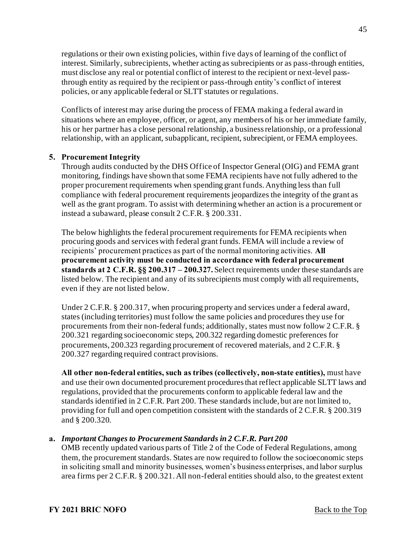regulations or their own existing policies, within five days of learning of the conflict of interest. Similarly, subrecipients, whether acting as subrecipients or as pass-through entities, must disclose any real or potential conflict of interest to the recipient or next-level passthrough entity as required by the recipient or pass-through entity's conflict of interest policies, or any applicable federal or SLTT statutes or regulations.

Conflicts of interest may arise during the process of FEMA making a federal award in situations where an employee, officer, or agent, any members of his or her immediate family, his or her partner has a close personal relationship, a business relationship, or a professional relationship, with an applicant, subapplicant, recipient, subrecipient, or FEMA employees.

## <span id="page-44-0"></span>**5. Procurement Integrity**

Through audits conducted by the DHS Office of Inspector General (OIG) and FEMA grant monitoring, findings have shown that some FEMA recipients have not fully adhered to the proper procurement requirements when spending grant funds. Anything less than full compliance with federal procurement requirements jeopardizes the integrity of the grant as well as the grant program. To assist with determining whether an action is a procurement or instead a subaward, please consult 2 C.F.R. § 200.331.

The below highlights the federal procurement requirements for FEMA recipients when procuring goods and services with federal grant funds. FEMA will include a review of recipients' procurement practices as part of the normal monitoring activities. **All procurement activity must be conducted in accordance with federal procurement standards at 2 C.F.R. §§ 200.317 – 200.327.** Select requirements under these standards are listed below. The recipient and any of its subrecipients must comply with all requirements, even if they are not listed below.

Under 2 C.F.R. § 200.317, when procuring property and services under a federal award, states (including territories) must follow the same policies and procedures they use for procurements from their non-federal funds; additionally, states must now follow 2 C.F.R. § 200.321 regarding socioeconomic steps, 200.322 regarding domestic preferences for procurements, 200.323 regarding procurement of recovered materials, and 2 C.F.R. § 200.327 regarding required contract provisions.

**All other non-federal entities, such as tribes (collectively, non-state entities),** must have and use their own documented procurement procedures that reflect applicable SLTT laws and regulations, provided that the procurements conform to applicable federal law and the standards identified in 2 C.F.R. Part 200. These standards include, but are not limited to, providing for full and open competition consistent with the standards of 2 C.F.R. § 200.319 and § 200.320.

## **a.** *Important Changes to Procurement Standards in 2 C.F.R. Part 200*

OMB recently updated various parts of Title 2 of the Code of Federal Regulations, among them, the procurement standards. States are now required to follow the socioeconomic steps in soliciting small and minority businesses, women's business enterprises, and labor surplus area firms per 2 C.F.R. § 200.321. All non-federal entities should also, to the greatest extent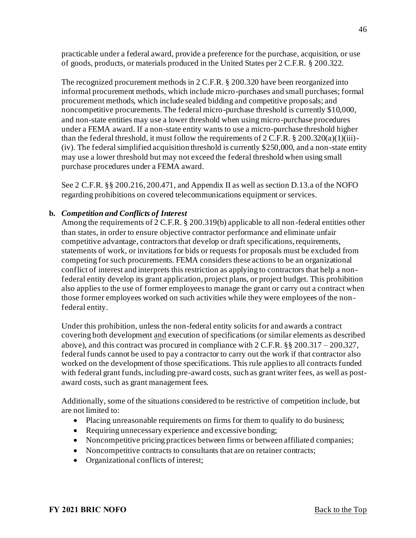practicable under a federal award, provide a preference for the purchase, acquisition, or use of goods, products, or materials produced in the United States per 2 C.F.R. § 200.322.

The recognized procurement methods in 2 C.F.R. § 200.320 have been reorganized into informal procurement methods, which include micro-purchases and small purchases; formal procurement methods, which include sealed bidding and competitive proposals; and noncompetitive procurements. The federal micro-purchase threshold is currently \$10,000, and non-state entities may use a lower threshold when using micro-purchase procedures under a FEMA award. If a non-state entity wants to use a micro-purchase threshold higher than the federal threshold, it must follow the requirements of  $2 \text{ C.F.R.}$  §  $200.320(a)(1)(iii)$ -(iv). The federal simplified acquisition threshold is currently \$250,000, and a non-state entity may use a lower threshold but may not exceed the federal threshold when using small purchase procedures under a FEMA award.

See 2 C.F.R. §§ 200.216, 200.471, and Appendix II as well as section D.13.a of the NOFO regarding prohibitions on covered telecommunications equipment or services.

## **b.** *Competition and Conflicts of Interest*

Among the requirements of 2 C.F.R. § 200.319(b) applicable to all non-federal entities other than states, in order to ensure objective contractor performance and eliminate unfair competitive advantage, contractors that develop or draft specifications, requirements, statements of work, or invitations for bids or requests for proposals must be excluded from competing for such procurements. FEMA considers these actions to be an organizational conflict of interest and interprets this restriction as applying to contractors that help a nonfederal entity develop its grant application, project plans, or project budget. This prohibition also applies to the use of former employees to manage the grant or carry out a contract when those former employees worked on such activities while they were employees of the non federal entity.

Under this prohibition, unless the non-federal entity solicits for and awards a contract covering both development and execution of specifications (or similar elements as described above), and this contract was procured in compliance with  $2 \text{ C.F.R.}$  §§  $200.317 - 200.327$ , federal funds cannot be used to pay a contractor to carry out the work if that contractor also worked on the development of those specifications. This rule applies to all contracts funded with federal grant funds, including pre-award costs, such as grant writer fees, as well as postaward costs, such as grant management fees.

Additionally, some of the situations considered to be restrictive of competition include, but are not limited to:

- Placing unreasonable requirements on firms for them to qualify to do business;
- Requiring unnecessary experience and excessive bonding;
- Noncompetitive pricing practices between firms or between affiliated companies;
- Noncompetitive contracts to consultants that are on retainer contracts;
- Organizational conflicts of interest;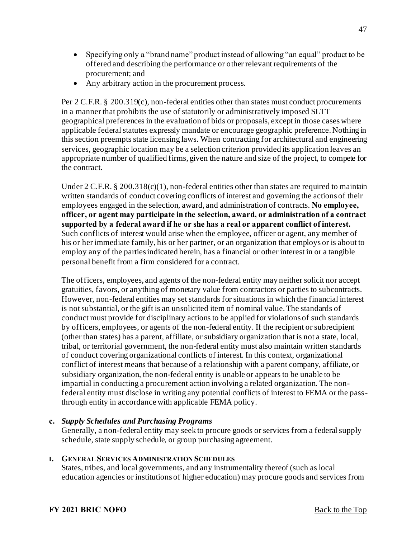- Specifying only a "brand name" product instead of allowing "an equal" product to be offered and describing the performance or other relevant requirements of the procurement; and
- Any arbitrary action in the procurement process.

Per 2 C.F.R. § 200.319(c), non-federal entities other than states must conduct procurements in a manner that prohibits the use of statutorily or administratively imposed SLTT geographical preferences in the evaluation of bids or proposals, except in those cases where applicable federal statutes expressly mandate or encourage geographic preference. Nothing in this section preempts state licensing laws. When contracting for architectural and engineering services, geographic location may be a selection criterion provided its application leaves an appropriate number of qualified firms, given the nature and size of the project, to compete for the contract.

Under 2 C.F.R. § 200.318(c)(1), non-federal entities other than states are required to maintain written standards of conduct covering conflicts of interest and governing the actions of their employees engaged in the selection, award, and administration of contracts. **No employee, officer, or agent may participate in the selection, award, or administration of a contract supported by a federal award if he or she has a real or apparent conflict of interest.** Such conflicts of interest would arise when the employee, officer or agent, any member of his or her immediate family, his or her partner, or an organization that employs or is about to employ any of the parties indicated herein, has a financial or other interest in or a tangible personal benefit from a firm considered for a contract.

The officers, employees, and agents of the non-federal entity may neither solicit nor accept gratuities, favors, or anything of monetary value from contractors or parties to subcontracts. However, non-federal entities may set standards for situations in which the financial interest is not substantial, or the gift is an unsolicited item of nominal value. The standards of conduct must provide for disciplinary actions to be applied for violations of such standards by officers, employees, or agents of the non-federal entity. If the recipient or subrecipient (other than states) has a parent, affiliate, or subsidiary organization that is not a state, local, tribal, or territorial government, the non-federal entity must also maintain written standards of conduct covering organizational conflicts of interest. In this context, organizational conflict of interest means that because of a relationship with a parent company, affiliate, or subsidiary organization, the non-federal entity is unable or appears to be unable to be impartial in conducting a procurement action involving a related organization. The nonfederal entity must disclose in writing any potential conflicts of interest to FEMA or the passthrough entity in accordance with applicable FEMA policy.

## **c.** *Supply Schedules and Purchasing Programs*

Generally, a non-federal entity may seek to procure goods or services from a federal supply schedule, state supply schedule, or group purchasing agreement.

## **I. GENERAL SERVICES ADMINISTRATION SCHEDULES**

States, tribes, and local governments, and any instrumentality thereof (such as local education agencies or institutions of higher education) may procure goods and services from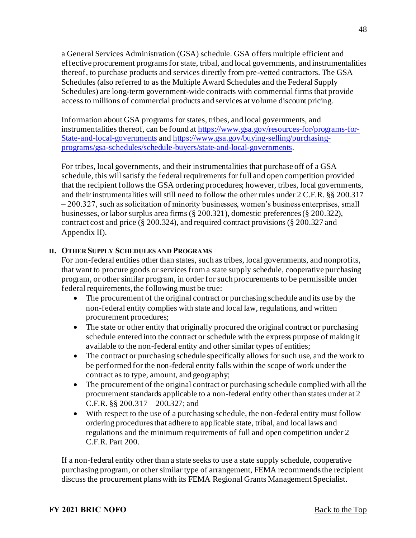a General Services Administration (GSA) schedule. GSA offers multiple efficient and effective procurement programs for state, tribal, and local governments, and instrumentalities thereof, to purchase products and services directly from pre-vetted contractors. The GSA Schedules (also referred to as the Multiple Award Schedules and the Federal Supply Schedules) are long-term government-wide contracts with commercial firms that provide access to millions of commercial products and services at volume discount pricing.

Information about GSA programs for states, tribes, and local governments, and instrumentalities thereof, can be found at [https://www.gsa.gov/resources-for/programs-for-](https://www.gsa.gov/resources-for/programs-for-State-and-local-governments)State-and-local-governments and [https://www.gsa.gov/buying-selling/purchasing](https://www.gsa.gov/buying-selling/purchasing-programs/gsa-schedules/schedule-buyers/state-and-local-governments)programs/gsa-schedules/schedule-buyers/state-and-local-governments.

For tribes, local governments, and their instrumentalities that purchase off of a GSA schedule, this will satisfy the federal requirements for full and open competition provided that the recipient follows the GSA ordering procedures; however, tribes, local governments, and their instrumentalities will still need to follow the other rules under 2 C.F.R. §§ 200.317 – 200.327, such as solicitation of minority businesses, women's business enterprises, small businesses, or labor surplus area firms (§ 200.321), domestic preferences (§ 200.322), contract cost and price (§ 200.324), and required contract provisions (§ 200.327 and Appendix II).

#### **II. OTHER SUPPLY SCHEDULES AND PROGRAMS**

For non-federal entities other than states, such as tribes, local governments, and nonprofits, that want to procure goods or services from a state supply schedule, cooperative purchasing program, or other similar program, in order for such procurements to be permissible under federal requirements, the following must be true:

- The procurement of the original contract or purchasing schedule and its use by the non-federal entity complies with state and local law, regulations, and written procurement procedures;
- The state or other entity that originally procured the original contract or purchasing schedule entered into the contract or schedule with the express purpose of making it available to the non-federal entity and other similar types of entities;
- The contract or purchasing schedule specifically allows for such use, and the work to be performed for the non-federal entity falls within the scope of work under the contract as to type, amount, and geography;
- The procurement of the original contract or purchasing schedule complied with all the procurement standards applicable to a non-federal entity other than states under at 2 C.F.R. §§ 200.317 – 200.327; and
- With respect to the use of a purchasing schedule, the non-federal entity must follow ordering procedures that adhere to applicable state, tribal, and local laws and regulations and the minimum requirements of full and open competition under 2 C.F.R. Part 200.

If a non-federal entity other than a state seeks to use a state supply schedule, cooperative purchasing program, or other similar type of arrangement, FEMA recommends the recipient discuss the procurement plans with its FEMA Regional Grants Management Specialist.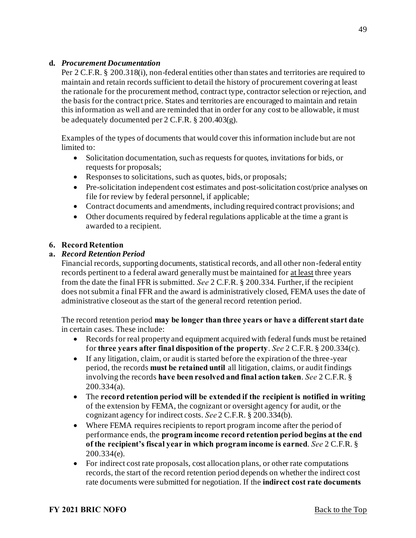## **d.** *Procurement Documentation*

Per 2 C.F.R. § 200.318(i), non-federal entities other than states and territories are required to maintain and retain records sufficient to detail the history of procurement covering at least the rationale for the procurement method, contract type, contractor selection or rejection, and the basis for the contract price. States and territories are encouraged to maintain and retain this information as well and are reminded that in order for any cost to be allowable, it must be adequately documented per 2 C.F.R. § 200.403(g).

Examples of the types of documents that would cover this information include but are not limited to:

- Solicitation documentation, such as requests for quotes, invitations for bids, or requests for proposals;
- Responses to solicitations, such as quotes, bids, or proposals;
- Pre-solicitation independent cost estimates and post-solicitation cost/price analyses on file for review by federal personnel, if applicable;
- Contract documents and amendments, including required contract provisions; and
- Other documents required by federal regulations applicable at the time a grant is awarded to a recipient.

## <span id="page-48-0"></span>**6. Record Retention**

## **a.** *Record Retention Period*

Financial records, supporting documents, statistical records, and all other non-federal entity records pertinent to a federal award generally must be maintained for at least three years from the date the final FFR is submitted. *See* 2 C.F.R. § 200.334. Further, if the recipient does not submit a final FFR and the award is administratively closed, FEMA uses the date of administrative closeout as the start of the general record retention period.

The record retention period **may be longer than three years or have a different start date**  in certain cases. These include:

- Records for real property and equipment acquired with federal funds must be retained for **three years after final disposition of the property**. *See* 2 C.F.R. § 200.334(c).
- If any litigation, claim, or audit is started before the expiration of the three-year period, the records **must be retained until** all litigation, claims, or audit findings involving the records **have been resolved and final action taken**. *See* 2 C.F.R. § 200.334(a).
- The **record retention period will be extended if the recipient is notified in writing** of the extension by FEMA, the cognizant or oversight agency for audit, or the cognizant agency for indirect costs. *See* 2 C.F.R. § 200.334(b).
- Where FEMA requires recipients to report program income after the period of performance ends, the **program income record retention period begins at the end of the recipient's fiscal year in which program income is earned**. *See* 2 C.F.R. § 200.334(e).
- For indirect cost rate proposals, cost allocation plans, or other rate computations records, the start of the record retention period depends on whether the indirect cost rate documents were submitted for negotiation. If the **indirect cost rate documents**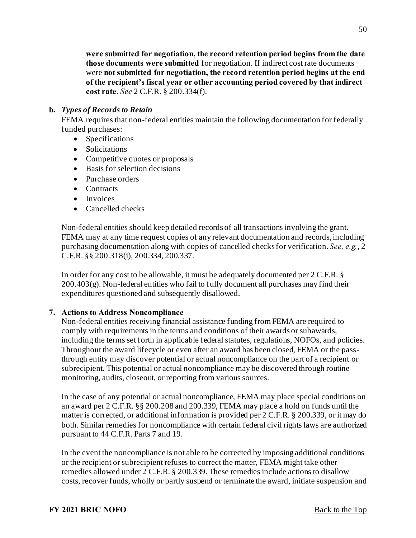**were submitted for negotiation, the record retention period begins from the date those documents were submitted** for negotiation. If indirect cost rate documents were **not submitted for negotiation, the record retention period begins at the end of the recipient's fiscal year or other accounting period covered by that indirect cost rate**. *See* 2 C.F.R. § 200.334(f).

#### **b.** *Types of Records to Retain*

FEMA requires that non-federal entities maintain the following documentation for federally funded purchases:

- Specifications
- Solicitations
- Competitive quotes or proposals
- Basis for selection decisions
- Purchase orders
- Contracts
- Invoices
- Cancelled checks

Non-federal entities should keep detailed records of all transactions involving the grant. FEMA may at any time request copies of any relevant documentation and records, including purchasing documentation along with copies of cancelled checks for verification. *See, e.g.*, 2 C.F.R. §§ 200.318(i), 200.334, 200.337.

In order for any cost to be allowable, it must be adequately documented per 2 C.F.R. §  $200.403(g)$ . Non-federal entities who fail to fully document all purchases may find their expenditures questioned and subsequently disallowed.

#### <span id="page-49-0"></span>**7. Actions to Address Noncompliance**

Non-federal entities receiving financial assistance funding from FEMA are required to comply with requirements in the terms and conditions of their awards or subawards, including the terms set forth in applicable federal statutes, regulations, NOFOs, and policies. Throughout the award lifecycle or even after an award has been closed, FEMA or the passthrough entity may discover potential or actual noncompliance on the part of a recipient or subrecipient. This potential or actual noncompliance may be discovered through routine monitoring, audits, closeout, or reporting from various sources.

In the case of any potential or actual noncompliance, FEMA may place special conditions on an award per 2 C.F.R. §§ 200.208 and 200.339, FEMA may place a hold on funds until the matter is corrected, or additional information is provided per 2 C.F.R. § 200.339, or it may do both. Similar remedies for noncompliance with certain federal civil rights laws are authorized pursuant to 44 C.F.R. Parts 7 and 19.

In the event the noncompliance is not able to be corrected by imposing additional conditions or the recipient or subrecipient refuses to correct the matter, FEMA might take other remedies allowed under 2 C.F.R. § 200.339. These remedies include actions to disallow costs, recover funds, wholly or partly suspend or terminate the award, initiate suspension and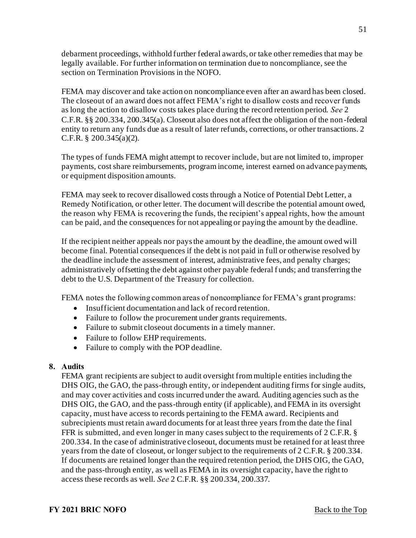debarment proceedings, withhold further federal awards, or take other remedies that may be legally available. For further information on termination due to noncompliance, see the section on Termination Provisions in the NOFO.

FEMA may discover and take action on noncompliance even after an award has been closed. The closeout of an award does not affect FEMA's right to disallow costs and recover funds as long the action to disallow costs takes place during the record retention period. *See* 2 C.F.R. §§ 200.334, 200.345(a). Closeout also does not affect the obligation of the non-federal entity to return any funds due as a result of later refunds, corrections, or other transactions. 2 C.F.R. § 200.345(a)(2).

The types of funds FEMA might attempt to recover include, but are not limited to, improper payments, cost share reimbursements, program income, interest earned on advance payments, or equipment disposition amounts.

FEMA may seek to recover disallowed costs through a Notice of Potential Debt Letter, a Remedy Notification, or other letter. The document will describe the potential amount owed, the reason why FEMA is recovering the funds, the recipient's appeal rights, how the amount can be paid, and the consequences for not appealing or paying the amount by the deadline.

If the recipient neither appeals nor pays the amount by the deadline, the amount owed will become final. Potential consequences if the debt is not paid in full or otherwise resolved by the deadline include the assessment of interest, administrative fees, and penalty charges; administratively offsetting the debt against other payable federal f unds; and transferring the debt to the U.S. Department of the Treasury for collection.

FEMA notes the following common areas of noncompliance for FEMA's grant programs:

- Insufficient documentation and lack of record retention.
- Failure to follow the procurement under grants requirements.
- Failure to submit close out documents in a timely manner.
- Failure to follow EHP requirements.
- Failure to comply with the POP deadline.

#### <span id="page-50-0"></span>**8. Audits**

FEMA grant recipients are subject to audit oversight from multiple entities including the DHS OIG, the GAO, the pass-through entity, or independent auditing firms for single audits, and may cover activities and costs incurred under the award. Auditing agencies such as the DHS OIG, the GAO, and the pass-through entity (if applicable), and FEMA in its oversight capacity, must have access to records pertaining to the FEMA award. Recipients and subrecipients must retain award documents for at least three years from the date the final FFR is submitted, and even longer in many cases subject to the requirements of 2 C.F.R. § 200.334. In the case of administrative closeout, documents must be retained for at least three years from the date of closeout, or longer subject to the requirements of 2 C.F.R. § 200.334. If documents are retained longer than the required retention period, the DHS OIG, the GAO, and the pass-through entity, as well as FEMA in its oversight capacity, have the right to access these records as well. *See* 2 C.F.R. §§ 200.334, 200.337.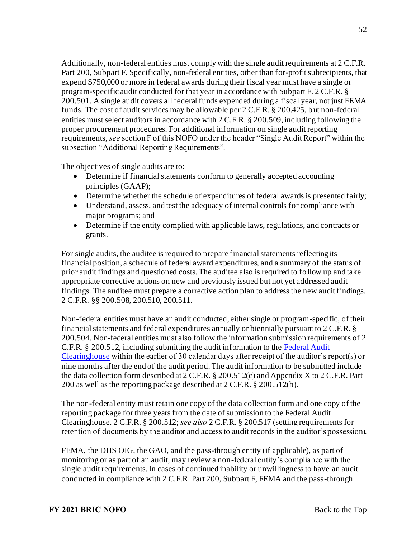Additionally, non-federal entities must comply with the single audit requirements at 2 C.F.R. Part 200, Subpart F. Specifically, non-federal entities, other than for-profit subrecipients, that expend \$750,000 or more in federal awards during their fiscal year must have a single or program-specific audit conducted for that year in accordance with Subpart F. 2 C.F.R. § 200.501. A single audit covers all federal funds expended during a fiscal year, not just FEMA funds. The cost of audit services may be allowable per 2 C.F.R. § 200.425, but non-federal entities must select auditors in accordance with 2 C.F.R. § 200.509, including following the proper procurement procedures. For additional information on single audit reporting requirements, *see* section F of this NOFO under the header "Single Audit Report" within the subsection "Additional Reporting Requirements".

The objectives of single audits are to:

- Determine if financial statements conform to generally accepted accounting principles (GAAP);
- Determine whether the schedule of expenditures of federal awards is presented fairly;
- Understand, assess, and test the adequacy of internal controls for compliance with major programs; and
- Determine if the entity complied with applicable laws, regulations, and contracts or grants.

For single audits, the auditee is required to prepare financial statements reflecting its financial position, a schedule of federal award expenditures, and a summary of the status of prior audit findings and questioned costs. The auditee also is required to follow up and take appropriate corrective actions on new and previously issued but not yet addressed audit findings. The auditee must prepare a corrective action plan to address the new audit findings. 2 C.F.R. §§ 200.508, 200.510, 200.511.

Non-federal entities must have an audit conducted, either single or program-specific, of their financial statements and federal expenditures annually or biennially pursuant to 2 C.F.R. § 200.504. Non-federal entities must also follow the information submission requirements of 2 [C.F.R. § 200.512, including submitting the audit information to the Federal Audit](https://harvester.census.gov/facweb/)  Clearinghouse within the earlier of 30 calendar days after receipt of the auditor's report(s) or nine months after the end of the audit period. The audit information to be submitted include the data collection form described at 2 C.F.R. § 200.512(c) and Appendix X to 2 C.F.R. Part 200 as well as the reporting package described at 2 C.F.R. § 200.512(b).

The non-federal entity must retain one copy of the data collection form and one copy of the reporting package for three years from the date of submission to the Federal Audit Clearinghouse. 2 C.F.R. § 200.512; *see also* 2 C.F.R. § 200.517 (setting requirements for retention of documents by the auditor and access to audit records in the auditor's possession).

FEMA, the DHS OIG, the GAO, and the pass-through entity (if applicable), as part of monitoring or as part of an audit, may review a non-federal entity's compliance with the single audit requirements. In cases of continued inability or unwillingness to have an audit conducted in compliance with 2 C.F.R. Part 200, Subpart F, FEMA and the pass-through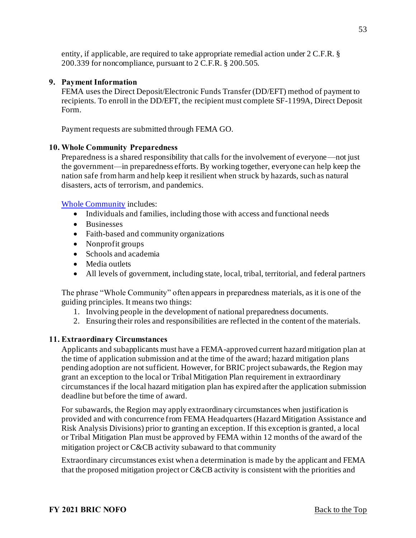entity, if applicable, are required to take appropriate remedial action under 2 C.F.R. § 200.339 for noncompliance, pursuant to 2 C.F.R. § 200.505.

#### <span id="page-52-0"></span>**9. Payment Information**

FEMA uses the Direct Deposit/Electronic Funds Transfer (DD/EFT) method of payment to recipients. To enroll in the DD/EFT, the recipient must complete SF-1199A, Direct Deposit Form.

Payment requests are submitted through FEMA GO.

#### <span id="page-52-1"></span>**10. Whole Community Preparedness**

Preparedness is a shared responsibility that calls for the involvement of everyone—not just the government—in preparedness efforts. By working together, everyone can help keep the nation safe from harm and help keep it resilient when struck by hazards, such as natural disasters, acts of terrorism, and pandemics.

[Whole Community](https://www.fema.gov/whole-community) includes:

- Individuals and families, including those with access and functional needs
- Businesses
- Faith-based and community organizations
- Nonprofit groups
- Schools and academia
- Media outlets
- All levels of government, including state, local, tribal, territorial, and federal partners

The phrase "Whole Community" often appears in preparedness materials, as it is one of the guiding principles. It means two things:

- 1. Involving people in the development of national preparedness documents.
- 2. Ensuring their roles and responsibilities are reflected in the content of the materials.

#### <span id="page-52-2"></span>**11. Extraordinary Circumstances**

Applicants and subapplicants must have a FEMA-approved current hazard mitigation plan at the time of application submission and at the time of the award; hazard mitigation plans pending adoption are not sufficient. However, for BRIC project subawards, the Region may grant an exception to the local or Tribal Mitigation Plan requirement in extraordinary circumstances if the local hazard mitigation plan has expired after the application submission deadline but before the time of award.

For subawards, the Region may apply extraordinary circumstances when justification is provided and with concurrence from FEMA Headquarters (Hazard Mitigation Assistance and Risk Analysis Divisions) prior to granting an exception. If this exception is granted, a local or Tribal Mitigation Plan must be approved by FEMA within 12 months of the award of the mitigation project or C&CB activity subaward to that community

Extraordinary circumstances exist when a determination is made by the applicant and FEMA that the proposed mitigation project or C&CB activity is consistent with the priorities and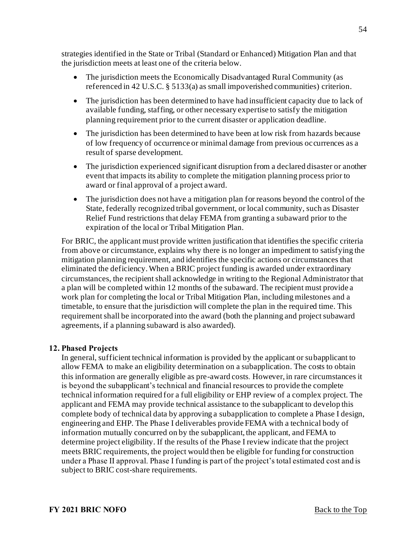strategies identified in the State or Tribal (Standard or Enhanced) Mitigation Plan and that the jurisdiction meets at least one of the criteria below.

- The jurisdiction meets the Economically Disadvantaged Rural Community (as referenced in 42 U.S.C. § 5133(a) as small impoverished communities) criterion.
- The jurisdiction has been determined to have had insufficient capacity due to lack of available funding, staffing, or other necessary expertise to satisfy the mitigation planning requirement prior to the current disaster or application deadline.
- The jurisdiction has been determined to have been at low risk from hazards because of low frequency of occurrence or minimal damage from previous occurrences as a result of sparse development.
- The jurisdiction experienced significant disruption from a declared disaster or another event that impacts its ability to complete the mitigation planning process prior to award or final approval of a project award.
- The jurisdiction does not have a mitigation plan for reasons beyond the control of the State, federally recognized tribal government, or local community, such as Disaster Relief Fund restrictions that delay FEMA from granting a subaward prior to the expiration of the local or Tribal Mitigation Plan.

For BRIC, the applicant must provide written justification that identifies the specific criteria from above or circumstance, explains why there is no longer an impediment to satisfying the mitigation planning requirement, and identifies the specific actions or circumstances that eliminated the deficiency. When a BRIC project funding is awarded under extraordinary circumstances, the recipient shall acknowledge in writing to the Regional Administrator that a plan will be completed within 12 months of the subaward. The recipient must provide a work plan for completing the local or Tribal Mitigation Plan, including milestones and a timetable, to ensure that the jurisdiction will complete the plan in the required time. This requirement shall be incorporated into the award (both the planning and project subaward agreements, if a planning subaward is also awarded).

## <span id="page-53-0"></span>**12. Phased Projects**

In general, sufficient technical information is provided by the applicant or subapplicant to allow FEMA to make an eligibility determination on a subapplication. The costs to obtain this information are generally eligible as pre-award costs*.* However, in rare circumstances it is beyond the subapplicant's technical and financial resources to provide the complete technical information required for a full eligibility or EHP review of a complex project. The applicant and FEMA may provide technical assistance to the subapplicant to develop this complete body of technical data by approving a subapplication to complete a Phase I design, engineering and EHP. The Phase I deliverables provide FEMA with a technical body of information mutually concurred on by the subapplicant, the applicant, and FEMA to determine project eligibility. If the results of the Phase I review indicate that the project meets BRIC requirements, the project would then be eligible for funding for construction under a Phase II approval. Phase I funding is part of the project's total estimated cost and is subject to BRIC cost-share requirements.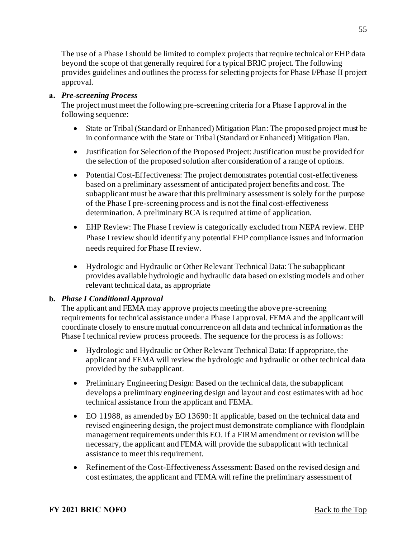The use of a Phase I should be limited to complex projects that require technical or EHP data beyond the scope of that generally required for a typical BRIC project. The following provides guidelines and outlines the process for selecting projects for Phase I/Phase II project approval.

## **a.** *Pre-screening Process*

The project must meet the following pre-screening criteria for a Phase I approval in the following sequence:

- State or Tribal (Standard or Enhanced) Mitigation Plan: The proposed project must be in conformance with the State or Tribal (Standard or Enhanced) Mitigation Plan.
- Justification for Selection of the Proposed Project: Justification must be provided for the selection of the proposed solution after consideration of a range of options.
- Potential Cost-Effectiveness: The project demonstrates potential cost-effectiveness based on a preliminary assessment of anticipated project benefits and cost. The subapplicant must be aware that this preliminary assessment is solely for the purpose of the Phase I pre-screening process and is not the final cost-effectiveness determination. A preliminary BCA is required at time of application.
- EHP Review: The Phase I review is categorically excluded from NEPA review. EHP Phase I review should identify any potential EHP compliance issues and information needs required for Phase II review.
- Hydrologic and Hydraulic or Other Relevant Technical Data: The subapplicant provides available hydrologic and hydraulic data based on existing models and other relevant technical data, as appropriate

## **b.** *Phase I Conditional Approval*

The applicant and FEMA may approve projects meeting the above pre-screening requirements for technical assistance under a Phase I approval. FEMA and the applicant will coordinate closely to ensure mutual concurrence on all data and technical information as the Phase I technical review process proceeds. The sequence for the process is as follows:

- Hydrologic and Hydraulic or Other Relevant Technical Data: If appropriate, the applicant and FEMA will review the hydrologic and hydraulic or other technical data provided by the subapplicant.
- Preliminary Engineering Design: Based on the technical data, the subapplicant develops a preliminary engineering design and layout and cost estimates with ad hoc technical assistance from the applicant and FEMA.
- EO 11988, as amended by EO 13690: If applicable, based on the technical data and revised engineering design, the project must demonstrate compliance with floodplain management requirements under this EO. If a FIRM amendment or revision will be necessary, the applicant and FEMA will provide the subapplicant with technical assistance to meet this requirement.
- Refinement of the Cost-Effectiveness Assessment: Based on the revised design and cost estimates, the applicant and FEMA will refine the preliminary assessment of